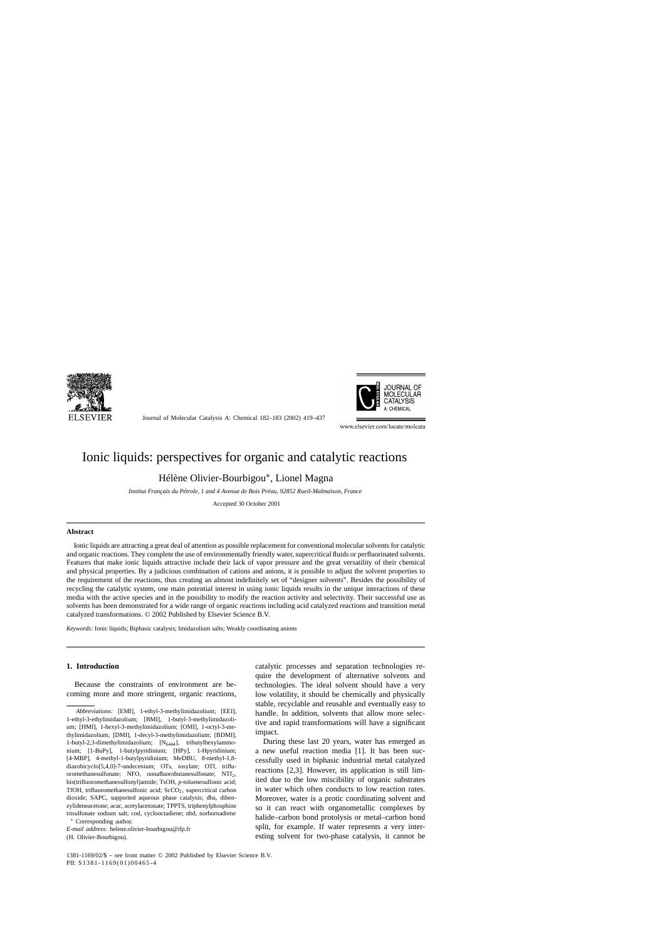

Journal of Molecular Catalysis A: Chemical 182–183 (2002) 419–437



www.elsevier.com/locate/molcata

# Ionic liquids: perspectives for organic and catalytic reactions

Hélène Olivier-Bourbigou∗, Lionel Magna

*Institut Français du Pétrole, 1 and 4 Avenue de Bois Préau, 92852 Rueil-Malmaison, France*

Accepted 30 October 2001

#### **Abstract**

Ionic liquids are attracting a great deal of attention as possible replacement for conventional molecular solvents for catalytic and organic reactions. They complete the use of environmentally friendly water, supercritical fluids or perfluorinated solvents. Features that make ionic liquids attractive include their lack of vapor pressure and the great versatility of their chemical and physical properties. By a judicious combination of cations and anions, it is possible to adjust the solvent properties to the requirement of the reactions, thus creating an almost indefinitely set of "designer solvents". Besides the possibility of recycling the catalytic system, one main potential interest in using ionic liquids results in the unique interactions of these media with the active species and in the possibility to modify the reaction activity and selectivity. Their successful use as solvents has been demonstrated for a wide range of organic reactions including acid catalyzed reactions and transition metal catalyzed transformations. © 2002 Published by Elsevier Science B.V.

*Keywords:* Ionic liquids; Biphasic catalysis; Imidazolium salts; Weakly coordinating anions

## **1. Introduction**

Because the constraints of environment are becoming more and more stringent, organic reactions, catalytic processes and separation technologies require the development of alternative solvents and technologies. The ideal solvent should have a very low volatility, it should be chemically and physically stable, recyclable and reusable and eventually easy to handle. In addition, solvents that allow more selective and rapid transformations will have a significant impact.

During these last 20 years, water has emerged as a new useful reaction media [1]. It has been successfully used in biphasic industrial metal catalyzed reactions [2,3]. However, its application is still limited due to the low miscibility of organic substrates in water which often conducts to low reaction rates. Moreover, water is a protic coordinating solvent and so it can react with organometallic complexes by halide–carbon bond protolysis or metal–carbon bond split, for example. If water represents a very interesting solvent for two-phase catalysis, it cannot be

*Abbreviations:* [EMI], 1-ethyl-3-methylimidazolium; [EEI], 1-ethyl-3-ethylimidazolium; [BMI], 1-butyl-3-methylimidazolium; [HMI], 1-hexyl-3-methylimidazolium; [OMI], 1-octyl-3-methylimidazolium; [DMI], 1-decyl-3-methylimidazolium; [BDMI], 1-butyl-2,3-dimethylimidazolium; [N<sub>6444</sub>], tributylhexylammonium; [1-BuPy], 1-butylpyridinium; [HPy], 1-Hpyridinium; [4-MBP], 4-methyl-1-butylpyridinium; MeDBU, 8-methyl-1,8 diazobicyclo[5,4,0]-7-undecenium; OTs, tosylate; OTf, trifluoromethanesulfonate; NFO, nonafluorobutanesulfonate; NTf<sub>2</sub>, bis(trifluoromethanesulfonyl)amide; TsOH, *p*-toluenesulfonic acid; TfOH, trifluoromethanesulfonic acid; ScCO<sub>2</sub>, supercritical carbon dioxide; SAPC, supported aqueous phase catalysis; dba, dibenzylideneacetone; acac, acetylacetonate; TPPTS, triphenylphosphine trisulfonate sodium salt; cod, cyclooctadiene; nbd, norbornadiene Corresponding author.

*E-mail address:* helene.olivier-bourbigou@ifp.fr (H. Olivier-Bourbigou).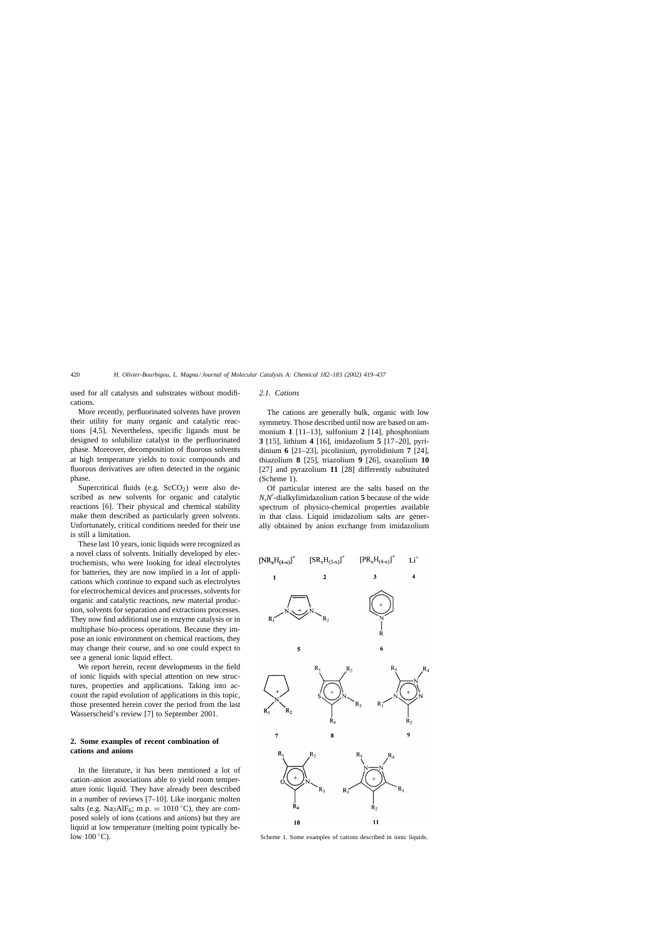used for all catalysts and substrates without modifications.

More recently, perfluorinated solvents have proven their utility for many organic and catalytic reactions [4,5]. Nevertheless, specific ligands must be designed to solubilize catalyst in the perfluorinated phase. Moreover, decomposition of fluorous solvents at high temperature yields to toxic compounds and fluorous derivatives are often detected in the organic phase.

Supercritical fluids (e.g.  $ScCO<sub>2</sub>$ ) were also described as new solvents for organic and catalytic reactions [6]. Their physical and chemical stability make them described as particularly green solvents. Unfortunately, critical conditions needed for their use is still a limitation.

These last 10 years, ionic liquids were recognized as a novel class of solvents. Initially developed by electrochemists, who were looking for ideal electrolytes for batteries, they are now implied in a lot of applications which continue to expand such as electrolytes for electrochemical devices and processes, solvents for organic and catalytic reactions, new material production, solvents for separation and extractions processes. They now find additional use in enzyme catalysis or in multiphase bio-process operations. Because they impose an ionic environment on chemical reactions, they may change their course, and so one could expect to see a general ionic liquid effect.

We report herein, recent developments in the field of ionic liquids with special attention on new structures, properties and applications. Taking into account the rapid evolution of applications in this topic, those presented herein cover the period from the last Wasserscheid's review [7] to September 2001.

# **2. Some examples of recent combination of cations and anions**

In the literature, it has been mentioned a lot of cation–anion associations able to yield room temperature ionic liquid. They have already been described in a number of reviews [7–10]. Like inorganic molten salts (e.g. Na<sub>3</sub>AlF<sub>6</sub>; m.p. = 1010 °C), they are composed solely of ions (cations and anions) but they are liquid at low temperature (melting point typically below  $100^{\circ}$ C).

# *2.1. Cations*

The cations are generally bulk, organic with low symmetry. Those described until now are based on ammonium **1** [11–13], sulfonium **2** [14], phosphonium **3** [15], lithium **4** [16], imidazolium **5** [17–20], pyridinium **6** [21–23], picolinium, pyrrolidinium **7** [24], thiazolium **8** [25], triazolium **9** [26], oxazolium **10** [27] and pyrazolium **11** [28] differently substituted (Scheme 1).

Of particular interest are the salts based on the *N*,*N* -dialkylimidazolium cation **5** because of the wide spectrum of physico-chemical properties available in that class. Liquid imidazolium salts are generally obtained by anion exchange from imidazolium



Scheme 1. Some examples of cations described in ionic liquids.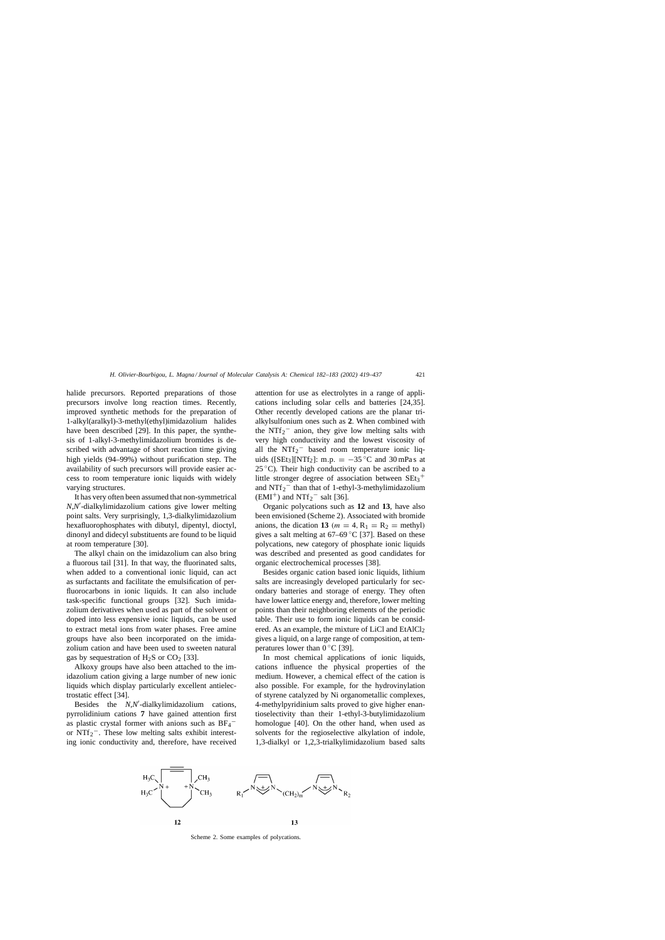halide precursors. Reported preparations of those precursors involve long reaction times. Recently, improved synthetic methods for the preparation of 1-alkyl(aralkyl)-3-methyl(ethyl)imidazolium halides have been described [29]. In this paper, the synthesis of 1-alkyl-3-methylimidazolium bromides is described with advantage of short reaction time giving high yields (94–99%) without purification step. The availability of such precursors will provide easier access to room temperature ionic liquids with widely varying structures.

It has very often been assumed that non-symmetrical *N*,*N* -dialkylimidazolium cations give lower melting point salts. Very surprisingly, 1,3-dialkylimidazolium hexafluorophosphates with dibutyl, dipentyl, dioctyl, dinonyl and didecyl substituents are found to be liquid at room temperature [30].

The alkyl chain on the imidazolium can also bring a fluorous tail [31]. In that way, the fluorinated salts, when added to a conventional ionic liquid, can act as surfactants and facilitate the emulsification of perfluorocarbons in ionic liquids. It can also include task-specific functional groups [32]. Such imidazolium derivatives when used as part of the solvent or doped into less expensive ionic liquids, can be used to extract metal ions from water phases. Free amine groups have also been incorporated on the imidazolium cation and have been used to sweeten natural gas by sequestration of  $H_2S$  or  $CO_2$  [33].

Alkoxy groups have also been attached to the imidazolium cation giving a large number of new ionic liquids which display particularly excellent antielectrostatic effect [34].

Besides the *N*,*N* -dialkylimidazolium cations, pyrrolidinium cations **7** have gained attention first as plastic crystal former with anions such as  $BF_4$ <sup>-</sup> or NTf<sub>2</sub><sup> $-$ </sup>. These low melting salts exhibit interesting ionic conductivity and, therefore, have received attention for use as electrolytes in a range of applications including solar cells and batteries [24,35]. Other recently developed cations are the planar trialkylsulfonium ones such as **2**. When combined with the NT $f_2$ <sup>-</sup> anion, they give low melting salts with very high conductivity and the lowest viscosity of all the  $NTf_2^-$  based room temperature ionic liquids ( $[SEt_3][NTf_2]$ : m.p. = -35 °C and 30 mPa s at  $25^{\circ}$ C). Their high conductivity can be ascribed to a little stronger degree of association between  $SEt<sub>3</sub>$ <sup>+</sup> and  $NTf_2^-$  than that of 1-ethyl-3-methylimidazolium  $(EMI^{+})$  and NTf<sub>2</sub><sup>-</sup> salt [36].

Organic polycations such as **12** and **13**, have also been envisioned (Scheme 2). Associated with bromide anions, the dication **13** ( $m = 4$ ,  $R_1 = R_2$  = methyl) gives a salt melting at  $67-69\degree C$  [37]. Based on these polycations, new category of phosphate ionic liquids was described and presented as good candidates for organic electrochemical processes [38].

Besides organic cation based ionic liquids, lithium salts are increasingly developed particularly for secondary batteries and storage of energy. They often have lower lattice energy and, therefore, lower melting points than their neighboring elements of the periodic table. Their use to form ionic liquids can be considered. As an example, the mixture of LiCl and EtAlCl $_2$ gives a liquid, on a large range of composition, at temperatures lower than  $0^{\circ}$ C [39].

In most chemical applications of ionic liquids, cations influence the physical properties of the medium. However, a chemical effect of the cation is also possible. For example, for the hydrovinylation of styrene catalyzed by Ni organometallic complexes, 4-methylpyridinium salts proved to give higher enantioselectivity than their 1-ethyl-3-butylimidazolium homologue [40]. On the other hand, when used as solvents for the regioselective alkylation of indole, 1,3-dialkyl or 1,2,3-trialkylimidazolium based salts



Scheme 2. Some examples of polycations.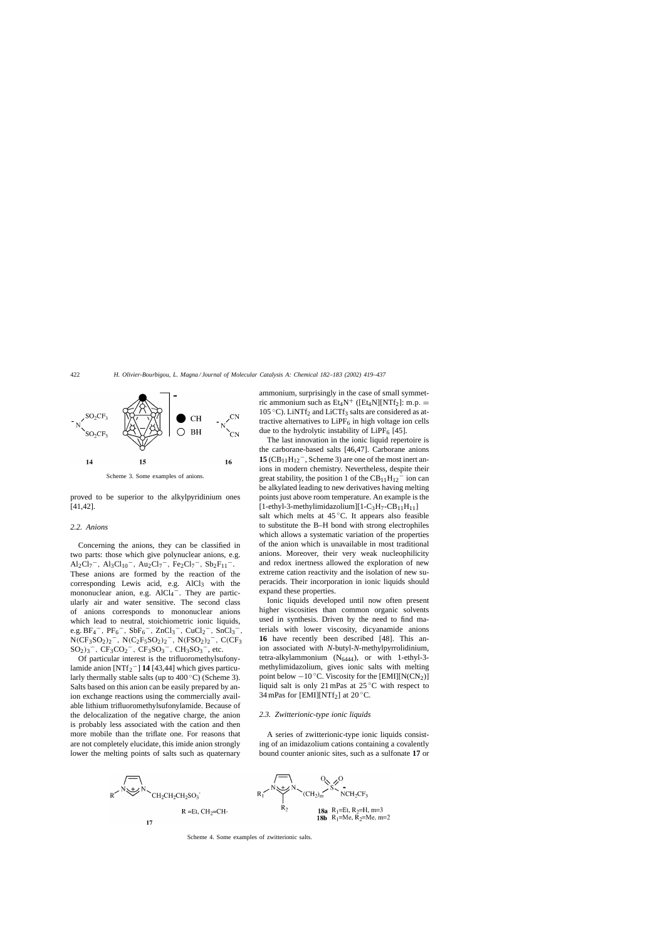

Scheme 3. Some examples of anions.

proved to be superior to the alkylpyridinium ones [41,42].

### *2.2. Anions*

Concerning the anions, they can be classified in two parts: those which give polynuclear anions, e.g.  $Al_2Cl_7^-$ ,  $Al_3Cl_{10}^-$ ,  $Au_2Cl_7^-$ ,  $Fe_2Cl_7^-$ ,  $Sb_2F_{11}^-$ . These anions are formed by the reaction of the corresponding Lewis acid, e.g.  $AICI_3$  with the mononuclear anion, e.g.  $AICl_4^-$ . They are particularly air and water sensitive. The second class of anions corresponds to mononuclear anions which lead to neutral, stoichiometric ionic liquids, e.g.  $BF_4^-$ ,  $PF_6^-$ ,  $SbF_6^-$ ,  $ZnCl_3^-$ ,  $CuCl_2^-$ ,  $SnCl_3^-$ ,  $N(CF_3SO_2)_2^-$ ,  $N(C_2F_5SO_2)_2^-$ ,  $N(FSO_2)_2^-$ ,  $C(CF_3)$  $SO_2$ )<sub>3</sub><sup>-</sup>, CF<sub>3</sub>CO<sub>2</sub><sup>-</sup>, CF<sub>3</sub>SO<sub>3</sub><sup>-</sup>, CH<sub>3</sub>SO<sub>3</sub><sup>-</sup>, etc.

Of particular interest is the trifluoromethylsufonylamide anion [NTf<sub>2</sub><sup>-</sup>] 14 [43,44] which gives particularly thermally stable salts (up to  $400\degree C$ ) (Scheme 3). Salts based on this anion can be easily prepared by anion exchange reactions using the commercially available lithium trifluoromethylsufonylamide. Because of the delocalization of the negative charge, the anion is probably less associated with the cation and then more mobile than the triflate one. For reasons that are not completely elucidate, this imide anion strongly lower the melting points of salts such as quaternary

ammonium, surprisingly in the case of small symmetric ammonium such as  $Et_4N^+$  ([ $Et_4N$ ][NTf<sub>2</sub>]: m.p. = 105 °C). LiNTf<sub>2</sub> and LiCTf<sub>3</sub> salts are considered as attractive alternatives to  $LiPF_6$  in high voltage ion cells due to the hydrolytic instability of LiPF $<sub>6</sub>$  [45].</sub>

The last innovation in the ionic liquid repertoire is the carborane-based salts [46,47]. Carborane anions **15** ( $CB_{11}H_{12}^-$ , Scheme 3) are one of the most inert anions in modern chemistry. Nevertheless, despite their great stability, the position 1 of the  $CB_{11}H_{12}^-$  ion can be alkylated leading to new derivatives having melting points just above room temperature. An example is the  $[1-ethyl-3-methylimidazolium][1-C<sub>3</sub>H<sub>7</sub>-CB<sub>11</sub>H<sub>11</sub>]$ 

salt which melts at  $45^{\circ}$ C. It appears also feasible to substitute the B–H bond with strong electrophiles which allows a systematic variation of the properties of the anion which is unavailable in most traditional anions. Moreover, their very weak nucleophilicity and redox inertness allowed the exploration of new extreme cation reactivity and the isolation of new superacids. Their incorporation in ionic liquids should expand these properties.

Ionic liquids developed until now often present higher viscosities than common organic solvents used in synthesis. Driven by the need to find materials with lower viscosity, dicyanamide anions **16** have recently been described [48]. This anion associated with *N*-butyl-*N*-methylpyrrolidinium, tetra-alkylammonium  $(N_{6444})$ , or with 1-ethyl-3methylimidazolium, gives ionic salts with melting point below  $-10$  °C. Viscosity for the [EMI][N(CN<sub>2</sub>)] liquid salt is only 21 mPas at  $25^{\circ}$ C with respect to 34 mPas for  $[EMI][NTf_2]$  at 20 °C.

#### *2.3. Zwitterionic-type ionic liquids*

A series of zwitterionic-type ionic liquids consisting of an imidazolium cations containing a covalently bound counter anionic sites, such as a sulfonate **17** or



Scheme 4. Some examples of zwitterionic salts.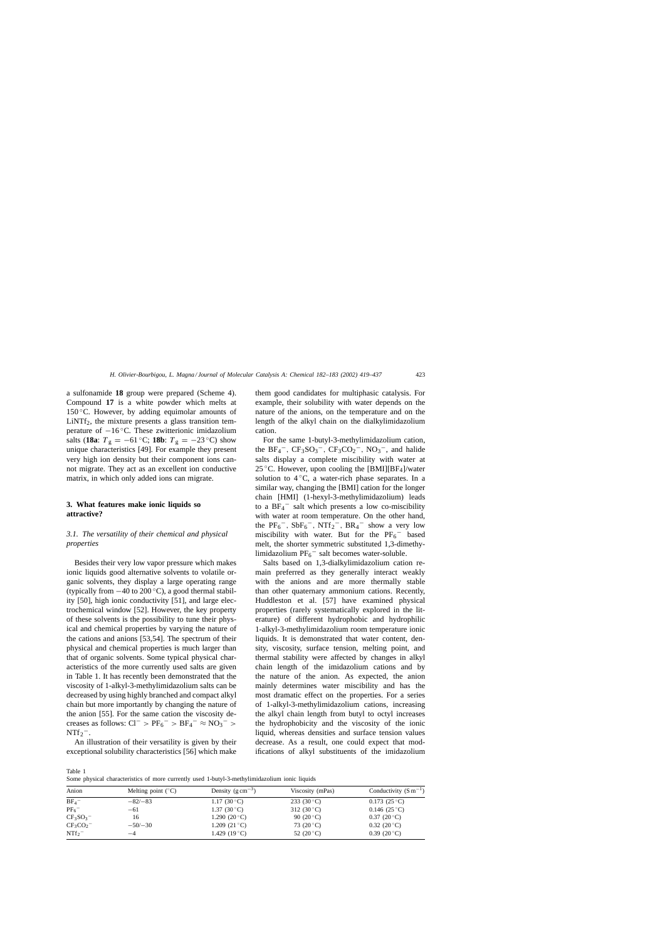a sulfonamide **18** group were prepared (Scheme 4). Compound **17** is a white powder which melts at  $150\degree$ C. However, by adding equimolar amounts of  $LiNTf<sub>2</sub>$ , the mixture presents a glass transition temperature of −16 ◦C. These zwitterionic imidazolium salts (18a:  $T_g = -61$  °C; 18b:  $T_g = -23$  °C) show unique characteristics [49]. For example they present very high ion density but their component ions cannot migrate. They act as an excellent ion conductive matrix, in which only added ions can migrate.

# **3. What features make ionic liquids so attractive?**

# *3.1. The versatility of their chemical and physical properties*

Besides their very low vapor pressure which makes ionic liquids good alternative solvents to volatile organic solvents, they display a large operating range (typically from  $-40$  to 200 °C), a good thermal stability [50], high ionic conductivity [51], and large electrochemical window [52]. However, the key property of these solvents is the possibility to tune their physical and chemical properties by varying the nature of the cations and anions [53,54]. The spectrum of their physical and chemical properties is much larger than that of organic solvents. Some typical physical characteristics of the more currently used salts are given in Table 1. It has recently been demonstrated that the viscosity of 1-alkyl-3-methylimidazolium salts can be decreased by using highly branched and compact alkyl chain but more importantly by changing the nature of the anion [55]. For the same cation the viscosity decreases as follows:  $Cl^- > PF_6^- > BF_4^- \approx NO_3^- >$  $NTf_2^-$ .

An illustration of their versatility is given by their exceptional solubility characteristics [56] which make them good candidates for multiphasic catalysis. For example, their solubility with water depends on the nature of the anions, on the temperature and on the length of the alkyl chain on the dialkylimidazolium cation.

For the same 1-butyl-3-methylimidazolium cation, the  $BF_4^-$ ,  $CF_3SO_3^-$ ,  $CF_3CO_2^-$ ,  $NO_3^-$ , and halide salts display a complete miscibility with water at 25 °C. However, upon cooling the [BMI][BF<sub>4</sub>]/water solution to  $4^\circ$ C, a water-rich phase separates. In a similar way, changing the [BMI] cation for the longer chain [HMI] (1-hexyl-3-methylimidazolium) leads to a  $BF_4$ <sup>-</sup> salt which presents a low co-miscibility with water at room temperature. On the other hand, the  $PF_6^-$ ,  $SbF_6^-$ ,  $NTf_2^-$ ,  $BR_4^-$  show a very low miscibility with water. But for the  $PF_6^-$  based melt, the shorter symmetric substituted 1,3-dimethylimidazolium  $PF_6^-$  salt becomes water-soluble.

Salts based on 1,3-dialkylimidazolium cation remain preferred as they generally interact weakly with the anions and are more thermally stable than other quaternary ammonium cations. Recently, Huddleston et al. [57] have examined physical properties (rarely systematically explored in the literature) of different hydrophobic and hydrophilic 1-alkyl-3-methylimidazolium room temperature ionic liquids. It is demonstrated that water content, density, viscosity, surface tension, melting point, and thermal stability were affected by changes in alkyl chain length of the imidazolium cations and by the nature of the anion. As expected, the anion mainly determines water miscibility and has the most dramatic effect on the properties. For a series of 1-alkyl-3-methylimidazolium cations, increasing the alkyl chain length from butyl to octyl increases the hydrophobicity and the viscosity of the ionic liquid, whereas densities and surface tension values decrease. As a result, one could expect that modifications of alkyl substituents of the imidazolium

Table 1

Some physical characteristics of more currently used 1-butyl-3-methylimidazolium ionic liquids

| Anion                           | Melting point $(^{\circ}C)$ | Density $(g \text{ cm}^{-3})$ | Viscosity (mPas)     | Conductivity $(S m^{-1})$ |
|---------------------------------|-----------------------------|-------------------------------|----------------------|---------------------------|
| $BF_4^-$                        | $-82/-83$                   | 1.17 $(30^{\circ}C)$          | 233 (30 $\degree$ C) | 0.173 $(25 °C)$           |
| $PF_6$ <sup>-</sup>             | $-61$                       | 1.37 $(30^{\circ}C)$          | 312 $(30^{\circ}C)$  | 0.146 $(25 °C)$           |
| CF <sub>3</sub> SO <sub>3</sub> | 16                          | 1.290 $(20 °C)$               | 90 $(20^{\circ}C)$   | 0.37(20 °C)               |
| $CF3CO2$ <sup>-</sup>           | $-50/-30$                   | 1.209 $(21^{\circ}C)$         | 73 $(20^{\circ}C)$   | 0.32 $(20 °C)$            |
| $NTf_2^-$                       | -4                          | 1.429 (19 °C)                 | 52 $(20^{\circ}C)$   | 0.39 (20 °C)              |
|                                 |                             |                               |                      |                           |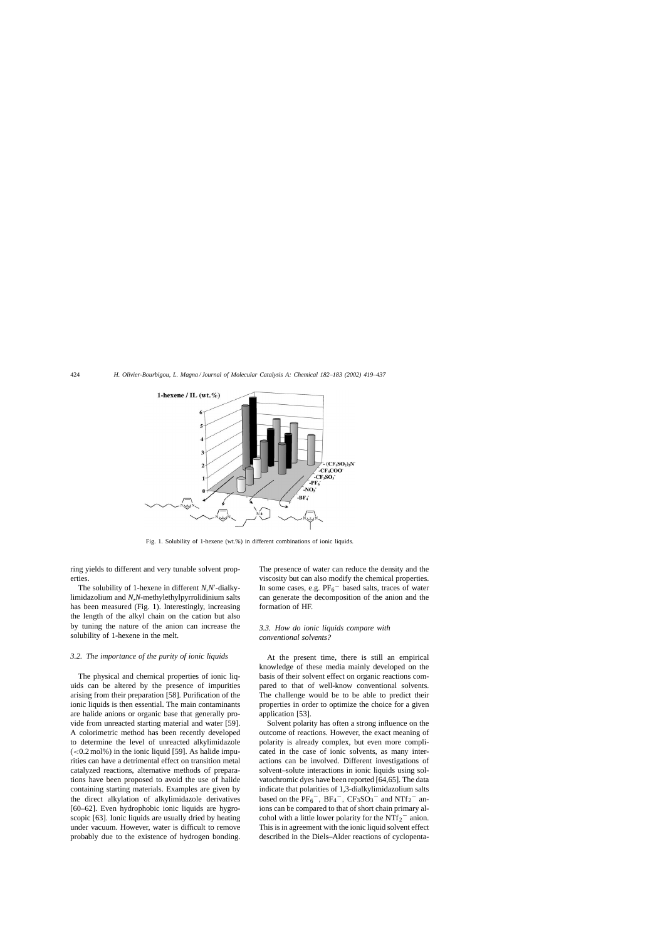

Fig. 1. Solubility of 1-hexene (wt.%) in different combinations of ionic liquids.

ring yields to different and very tunable solvent properties.

The solubility of 1-hexene in different *N*,*N* -dialkylimidazolium and *N*,*N*-methylethylpyrrolidinium salts has been measured (Fig. 1). Interestingly, increasing the length of the alkyl chain on the cation but also by tuning the nature of the anion can increase the solubility of 1-hexene in the melt.

#### *3.2. The importance of the purity of ionic liquids*

The physical and chemical properties of ionic liquids can be altered by the presence of impurities arising from their preparation [58]. Purification of the ionic liquids is then essential. The main contaminants are halide anions or organic base that generally provide from unreacted starting material and water [59]. A colorimetric method has been recently developed to determine the level of unreacted alkylimidazole  $\left($  <0.2 mol%) in the ionic liquid [59]. As halide impurities can have a detrimental effect on transition metal catalyzed reactions, alternative methods of preparations have been proposed to avoid the use of halide containing starting materials. Examples are given by the direct alkylation of alkylimidazole derivatives [60–62]. Even hydrophobic ionic liquids are hygroscopic [63]. Ionic liquids are usually dried by heating under vacuum. However, water is difficult to remove probably due to the existence of hydrogen bonding.

The presence of water can reduce the density and the viscosity but can also modify the chemical properties. In some cases, e.g.  $PF_6$ <sup>-</sup> based salts, traces of water can generate the decomposition of the anion and the formation of HF.

# *3.3. How do ionic liquids compare with conventional solvents?*

At the present time, there is still an empirical knowledge of these media mainly developed on the basis of their solvent effect on organic reactions compared to that of well-know conventional solvents. The challenge would be to be able to predict their properties in order to optimize the choice for a given application [53].

Solvent polarity has often a strong influence on the outcome of reactions. However, the exact meaning of polarity is already complex, but even more complicated in the case of ionic solvents, as many interactions can be involved. Different investigations of solvent–solute interactions in ionic liquids using solvatochromic dyes have been reported [64,65]. The data indicate that polarities of 1,3-dialkylimidazolium salts based on the  $PF_6^-$ ,  $BF_4^-$ ,  $CF_3SO_3^-$  and  $NTf_2^-$  anions can be compared to that of short chain primary alcohol with a little lower polarity for the  $NTf_2^-$  anion. This is in agreement with the ionic liquid solvent effect described in the Diels–Alder reactions of cyclopenta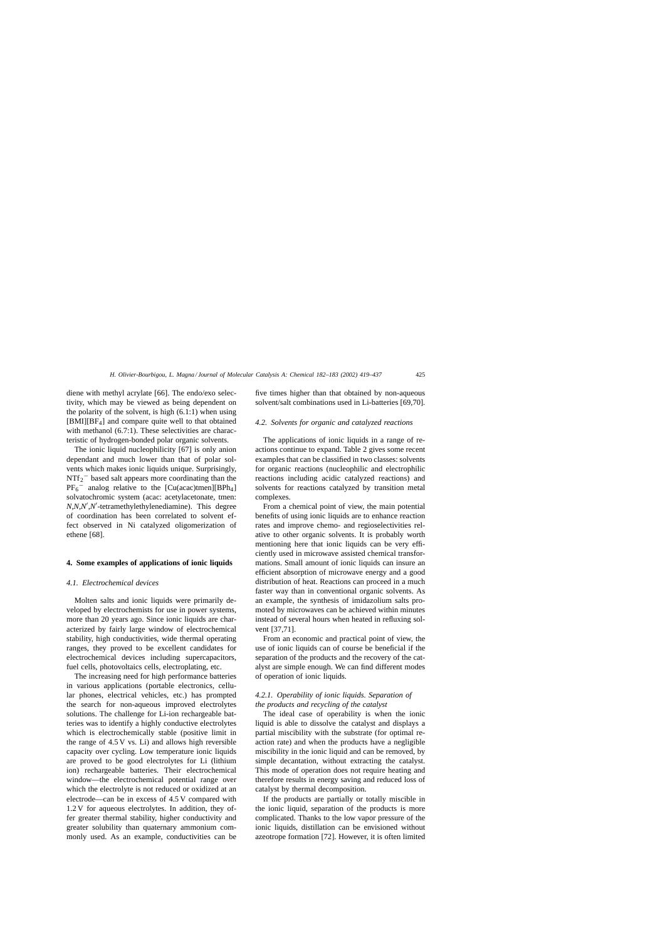diene with methyl acrylate [66]. The endo/exo selectivity, which may be viewed as being dependent on the polarity of the solvent, is high  $(6.1:1)$  when using [BMI][BF4] and compare quite well to that obtained with methanol (6.7:1). These selectivities are characteristic of hydrogen-bonded polar organic solvents.

The ionic liquid nucleophilicity [67] is only anion dependant and much lower than that of polar solvents which makes ionic liquids unique. Surprisingly,  $NTf_2$ <sup>–</sup> based salt appears more coordinating than the  $PF_6^-$  analog relative to the [Cu(acac)tmen][BPh<sub>4</sub>] solvatochromic system (acac: acetylacetonate, tmen: *N*,*N*,*N* ,*N* -tetramethylethylenediamine). This degree of coordination has been correlated to solvent effect observed in Ni catalyzed oligomerization of ethene [68].

### **4. Some examples of applications of ionic liquids**

### *4.1. Electrochemical devices*

Molten salts and ionic liquids were primarily developed by electrochemists for use in power systems, more than 20 years ago. Since ionic liquids are characterized by fairly large window of electrochemical stability, high conductivities, wide thermal operating ranges, they proved to be excellent candidates for electrochemical devices including supercapacitors, fuel cells, photovoltaics cells, electroplating, etc.

The increasing need for high performance batteries in various applications (portable electronics, cellular phones, electrical vehicles, etc.) has prompted the search for non-aqueous improved electrolytes solutions. The challenge for Li-ion rechargeable batteries was to identify a highly conductive electrolytes which is electrochemically stable (positive limit in the range of 4.5 V vs. Li) and allows high reversible capacity over cycling. Low temperature ionic liquids are proved to be good electrolytes for Li (lithium ion) rechargeable batteries. Their electrochemical window—the electrochemical potential range over which the electrolyte is not reduced or oxidized at an electrode—can be in excess of 4.5 V compared with 1.2 V for aqueous electrolytes. In addition, they offer greater thermal stability, higher conductivity and greater solubility than quaternary ammonium commonly used. As an example, conductivities can be

five times higher than that obtained by non-aqueous solvent/salt combinations used in Li-batteries [69,70].

# *4.2. Solvents for organic and catalyzed reactions*

The applications of ionic liquids in a range of reactions continue to expand. Table 2 gives some recent examples that can be classified in two classes: solvents for organic reactions (nucleophilic and electrophilic reactions including acidic catalyzed reactions) and solvents for reactions catalyzed by transition metal complexes.

From a chemical point of view, the main potential benefits of using ionic liquids are to enhance reaction rates and improve chemo- and regioselectivities relative to other organic solvents. It is probably worth mentioning here that ionic liquids can be very efficiently used in microwave assisted chemical transformations. Small amount of ionic liquids can insure an efficient absorption of microwave energy and a good distribution of heat. Reactions can proceed in a much faster way than in conventional organic solvents. As an example, the synthesis of imidazolium salts promoted by microwaves can be achieved within minutes instead of several hours when heated in refluxing solvent [37,71].

From an economic and practical point of view, the use of ionic liquids can of course be beneficial if the separation of the products and the recovery of the catalyst are simple enough. We can find different modes of operation of ionic liquids.

# *4.2.1. Operability of ionic liquids. Separation of the products and recycling of the catalyst*

The ideal case of operability is when the ionic liquid is able to dissolve the catalyst and displays a partial miscibility with the substrate (for optimal reaction rate) and when the products have a negligible miscibility in the ionic liquid and can be removed, by simple decantation, without extracting the catalyst. This mode of operation does not require heating and therefore results in energy saving and reduced loss of catalyst by thermal decomposition.

If the products are partially or totally miscible in the ionic liquid, separation of the products is more complicated. Thanks to the low vapor pressure of the ionic liquids, distillation can be envisioned without azeotrope formation [72]. However, it is often limited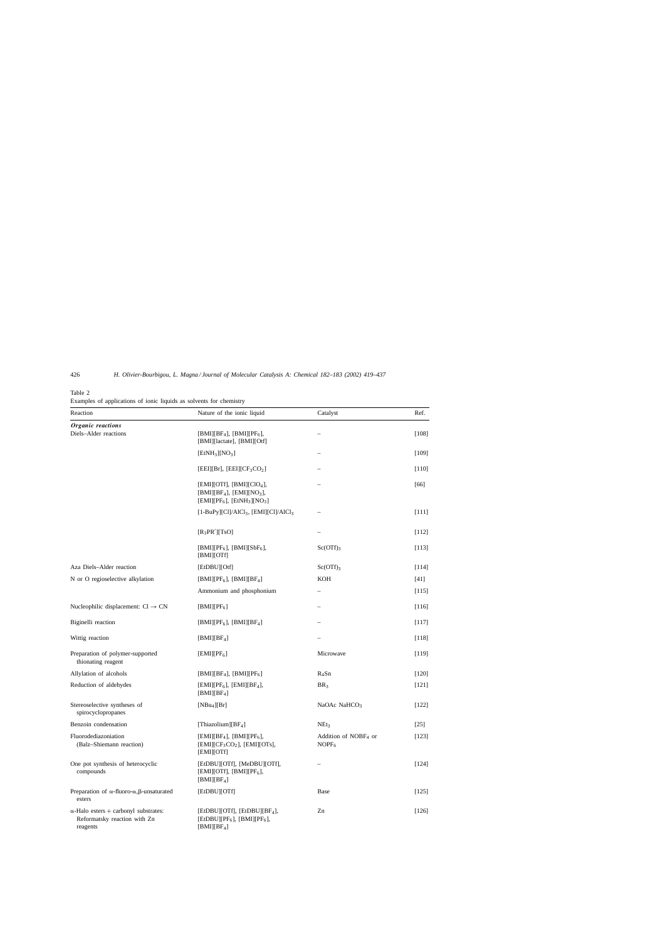Table 2

| Examples of applications of ionic liquids as solvents for chemistry |  |
|---------------------------------------------------------------------|--|
|---------------------------------------------------------------------|--|

| Reaction                                                                                 | Nature of the ionic liquid                                                                                                    | Catalyst                         | Ref.    |  |
|------------------------------------------------------------------------------------------|-------------------------------------------------------------------------------------------------------------------------------|----------------------------------|---------|--|
| Organic reactions<br>Diels-Alder reactions                                               | [BMI][BF <sub>4</sub> ], [BMI][PF <sub>6</sub> ],<br>[BMI][lactate], [BMI][Otf]                                               |                                  | $[108]$ |  |
|                                                                                          | [EtNH <sub>3</sub> ][NO <sub>3</sub> ]                                                                                        |                                  | [109]   |  |
|                                                                                          | [EEI][Br], [EEI][CF <sub>3</sub> CO <sub>2</sub> ]                                                                            |                                  | $[110]$ |  |
|                                                                                          | [EMI][OTT], [BMI][ClO <sub>4</sub> ],<br>$[BMI][BF4], [EMI][NO3],$<br>[EMI][ $PF_6$ ], [EtNH <sub>3</sub> ][NO <sub>3</sub> ] |                                  | [66]    |  |
|                                                                                          | $[1-BuPy][Cl]/AICl3, [EMI][Cl]/AICl3$                                                                                         |                                  | $[111]$ |  |
|                                                                                          | $[R_3PR']$ [TsO]                                                                                                              |                                  | $[112]$ |  |
|                                                                                          | [BMI][ $PF_6$ ], [BMI][ $SbF_6$ ],<br>[BMI][OTf]                                                                              | $Sc(OTf)_3$                      | [113]   |  |
| Aza Diels-Alder reaction                                                                 | [EtDBU][Otf]                                                                                                                  | $Sc(OTf)_3$                      | $[114]$ |  |
| N or O regioselective alkylation                                                         | $[BMI][PF_6]$ , $[BMI][BF_4]$                                                                                                 | KOH                              | $[41]$  |  |
|                                                                                          | Ammonium and phosphonium                                                                                                      |                                  | [115]   |  |
| Nucleophilic displacement: $Cl \rightarrow CN$                                           | $[BMI][PF_6]$                                                                                                                 |                                  | $[116]$ |  |
| Biginelli reaction                                                                       | $[BMI][PF_6]$ , $[BMI][BF_4]$                                                                                                 |                                  | $[117]$ |  |
| Wittig reaction                                                                          | $[BMI][BF_4]$                                                                                                                 |                                  | $[118]$ |  |
| Preparation of polymer-supported<br>thionating reagent                                   | [EMI][PF <sub>6</sub> ]                                                                                                       | Microwave                        | $[119]$ |  |
| Allylation of alcohols                                                                   | $[BMI][BF_4]$ , $[BMI][PF_6]$                                                                                                 | $R_4$ Sn                         | $[120]$ |  |
| Reduction of aldehydes                                                                   | $[EMI][PF6], [EMI][BF4],$<br>$[BMI][BF_4]$                                                                                    | BR <sub>3</sub>                  | $[121]$ |  |
| Stereoselective syntheses of<br>spirocyclopropanes                                       | $[NBu_4][Br]$                                                                                                                 | NaOAc NaHCO <sub>3</sub>         | $[122]$ |  |
| Benzoin condensation                                                                     | [Thiazolium][ $BF4$ ]                                                                                                         | NEt <sub>3</sub>                 | $[25]$  |  |
| Fluorodediazoniation<br>(Balz-Shiemann reaction)                                         | $[EMI][BF4], [BMI][PF6],$<br>$[EMI][CF3CO2], [EMI][OTs],$<br>[EMI][OTf]                                                       | Addition of NOBF4 or<br>$NOPF_6$ | [123]   |  |
| One pot synthesis of heterocyclic<br>compounds                                           | [EtDBU][OTf], [MeDBU][OTf],<br>[EMI][OTf], [BMI][ $PF_6$ ],<br>$[BMI][BF_4]$                                                  | $\overline{\phantom{0}}$         | [124]   |  |
| Preparation of $\alpha$ -fluoro- $\alpha$ , $\beta$ -unsaturated<br>esters               | [EtDBU][OTf]                                                                                                                  | Base                             | [125]   |  |
| $\alpha$ -Halo esters + carbonyl substrates:<br>Reformatsky reaction with Zn<br>reagents | [EtDBU][OTf], [EtDBU][BF <sub>4</sub> ],<br>[EtDBU][ $PF_6$ ], [BMI][ $PF_6$ ],<br>$[BMI][BF_4]$                              | Zn                               | [126]   |  |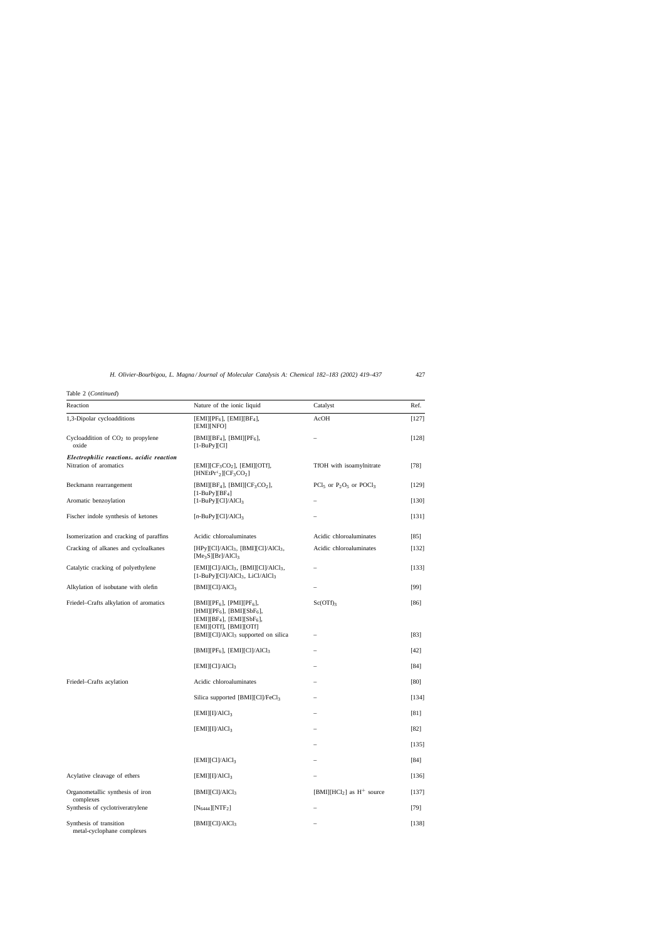Table 2 (*Continued*)

| Reaction                                              | Nature of the ionic liquid                                                                                              | Catalyst                                          | Ref.    |
|-------------------------------------------------------|-------------------------------------------------------------------------------------------------------------------------|---------------------------------------------------|---------|
| 1,3-Dipolar cycloadditions                            | [EMI][ $PF_6$ ], [EMI][ $BF_4$ ],<br>[EMI][NFO]                                                                         | AcOH                                              | $[127]$ |
| Cycloaddition of $CO2$ to propylene<br>oxide          | [BMI][BF <sub>4</sub> ], [BMI][PF <sub>6</sub> ],<br>$[1-BuPy][Cl]$                                                     |                                                   | $[128]$ |
| Electrophilic reactions. acidic reaction              |                                                                                                                         |                                                   |         |
| Nitration of aromatics                                | $[EMI][CF3CO2], [EMI][OTT],$<br>$[HNEtPri2][CF3CO2]$                                                                    | TfOH with isoamylnitrate                          | $[78]$  |
| Beckmann rearrangement                                | [BMI][BF <sub>4</sub> ], [BMI][CF <sub>3</sub> CO <sub>2</sub> ],<br>$[1-BuPy][BF4]$                                    | PCl <sub>5</sub> or $P_2O_5$ or POCl <sub>3</sub> | $[129]$ |
| Aromatic benzoylation                                 | $[1-BuPy][Cl]/A Cl_3$                                                                                                   |                                                   | $[130]$ |
| Fischer indole synthesis of ketones                   | $[n-BuPy][Cl]/A Cl_3$                                                                                                   |                                                   | $[131]$ |
| Isomerization and cracking of paraffins               | Acidic chloroaluminates                                                                                                 | Acidic chloroaluminates                           | [85]    |
| Cracking of alkanes and cycloalkanes                  | $[\mathrm{HPy}][\mathrm{Cl}/\mathrm{AlCl}_3, \, [\mathrm{BMI}][\mathrm{Cl}/\mathrm{AlCl}_3,$<br>$[Me3S][Br]/AlCl3$      | Acidic chloroaluminates                           | $[132]$ |
| Catalytic cracking of polyethylene                    | $[EMI][Cl]/AICl3, [BMI][Cl]/AICl3,$<br>$[1-BuPy][Cl]/AICl3$ , LiCl/AlCl <sub>3</sub>                                    |                                                   | $[133]$ |
| Alkylation of isobutane with olefin                   | [BMI][CI]/AICl <sub>3</sub>                                                                                             |                                                   | $[99]$  |
| Friedel-Crafts alkylation of aromatics                | [BMI][ $PF_6$ ], [PMI][ $PF_6$ ],<br>$[HMI][PF6], [BMI][SbF6],$<br>$[EMI][BF4], [EMI][SbF6],$<br>[EMI][OTf], [BMI][OTf] | $Sc(OTf)_{3}$                                     | [86]    |
|                                                       | [BMI][Cl]/AlCl <sub>3</sub> supported on silica                                                                         |                                                   | $[83]$  |
|                                                       | $[BMI][PF_6]$ , $[EMI][Cl]/AICl_3$                                                                                      |                                                   | $[42]$  |
|                                                       | [EMI][Cl]/AICl <sub>3</sub>                                                                                             |                                                   | [84]    |
| Friedel-Crafts acylation                              | Acidic chloroaluminates                                                                                                 |                                                   | [80]    |
|                                                       | Silica supported [BMI][Cl]/FeCl3                                                                                        |                                                   | $[134]$ |
|                                                       | [EMI][I]/AICl <sub>3</sub>                                                                                              |                                                   | [81]    |
|                                                       | [EMI][I]/AICl <sub>3</sub>                                                                                              |                                                   | $[82]$  |
|                                                       |                                                                                                                         |                                                   | $[135]$ |
|                                                       | [EMI][Cl]/AICl <sub>3</sub>                                                                                             |                                                   | $[84]$  |
| Acylative cleavage of ethers                          | [EMI][I]/AICl <sub>3</sub>                                                                                              |                                                   | $[136]$ |
| Organometallic synthesis of iron<br>complexes         | [BMI][CI]/AICl <sub>3</sub>                                                                                             | [BMI][HCl <sub>2</sub> ] as $H^+$ source          | $[137]$ |
| Synthesis of cyclotriveratrylene                      | $[N_{6444}] [NTF_2]$                                                                                                    |                                                   | [79]    |
| Synthesis of transition<br>metal-cyclophane complexes | [BMI][CI]/AICl <sub>3</sub>                                                                                             |                                                   | $[138]$ |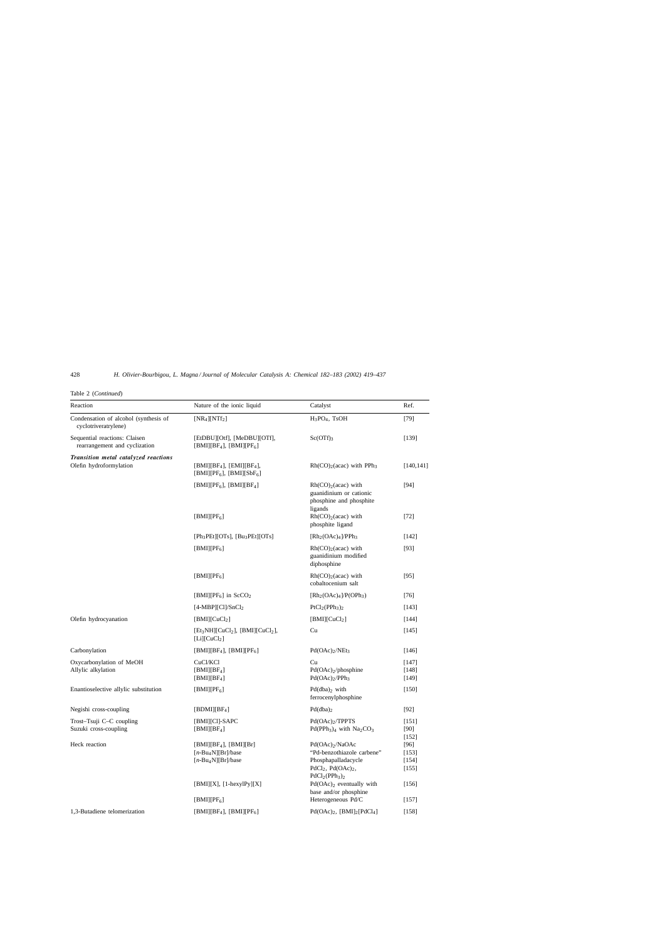|  |  | Table 2 (Continued) |
|--|--|---------------------|
|--|--|---------------------|

| Reaction                                                        | Nature of the ionic liquid                                                         | Catalyst                                                                                                                     | Ref.                                  |
|-----------------------------------------------------------------|------------------------------------------------------------------------------------|------------------------------------------------------------------------------------------------------------------------------|---------------------------------------|
| Condensation of alcohol (synthesis of<br>cyclotriveratrylene)   | $[NR_4][NTf_2]$                                                                    | $H_3PO_4$ , TsOH                                                                                                             | $[79]$                                |
| Sequential reactions: Claisen<br>rearrangement and cyclization  | [EtDBU][Otf], [MeDBU][OTf],<br>$[BMI][BF4], [BMI][PF6]$                            | $Sc(OTf)_{3}$                                                                                                                | $[139]$                               |
| Transition metal catalyzed reactions<br>Olefin hydroformylation | [BMI][ $BF_4$ ], [EMI][ $BF_4$ ],<br>$[BMI][PF_6]$ , $[BMI][SbF_6]$                | $Rh(CO)2(acac)$ with PPh <sub>3</sub>                                                                                        | [140, 141]                            |
|                                                                 | $[BMI][PF_6]$ , $[BMI][BF_4]$                                                      | $Rh(CO)2(acac)$ with<br>guanidinium or cationic<br>phosphine and phosphite<br>ligands                                        | $[94]$                                |
|                                                                 | $[BMI][PF_6]$                                                                      | $Rh(CO)_{2} (acac)$ with<br>phosphite ligand                                                                                 | $[72]$                                |
|                                                                 | $[Ph_3PEt][OTs]$ , $[Bu_3PEt][OTs]$                                                | $[Rh_2(OAc)_4]/PPh_3$                                                                                                        | $[142]$                               |
|                                                                 | [BMI][PF <sub>6</sub> ]                                                            | $Rh(CO)2(acac)$ with<br>guanidinium modified<br>diphosphine                                                                  | $[93]$                                |
|                                                                 | $[BMI][PF_6]$                                                                      | $Rh(CO)2(acac)$ with<br>cobaltocenium salt                                                                                   | $[95]$                                |
|                                                                 | [BMI][ $PF_6$ ] in ScCO <sub>2</sub>                                               | $[Rh_2(OAc)_4]/P(OPh_3)$                                                                                                     | $[76]$                                |
|                                                                 | $[4-MBP][Cl]/SnCl2$                                                                | $PtCl2(PPh3)2$                                                                                                               | $[143]$                               |
| Olefin hydrocyanation                                           | [BMI][CuCl <sub>2</sub> ]                                                          | [BMI][CuCl <sub>2</sub> ]                                                                                                    | $[144]$                               |
|                                                                 | $[Et3NH][CuCl2], [BMI][CuCl2],$<br>[Li][CuCl <sub>2</sub> ]                        | Cu                                                                                                                           | $[145]$                               |
| Carbonylation                                                   | $[BMI][BF4], [BMI][PF6]$                                                           | Pd(OAc) <sub>2</sub> /NEt <sub>3</sub>                                                                                       | $[146]$                               |
| Oxycarbonylation of MeOH<br>Allylic alkylation                  | CuCl/KCl<br>$[BMI][BF_4]$<br>[BMI][BF <sub>4</sub> ]                               | Cu<br>Pd(OAc) <sub>2</sub> /phosphine<br>Pd(OAc) <sub>2</sub> /PPh <sub>3</sub>                                              | [147]<br>$[148]$<br>[149]             |
| Enantioselective allylic substitution                           | $[BMI][PF_6]$                                                                      | $Pddba)_2$ with<br>ferrocenylphosphine                                                                                       | $[150]$                               |
| Negishi cross-coupling                                          | $[BDMI][BF_4]$                                                                     | Pd(dba) <sub>2</sub>                                                                                                         | $[92]$                                |
| Trost-Tsuji C-C coupling<br>Suzuki cross-coupling               | [BMI][Cl]-SAPC<br>$[BMI][BF_4]$                                                    | Pd(OAc)2/TPPTS<br>$Pd(PPh_3)_4$ with $Na_2CO_3$                                                                              | $[151]$<br>[90]<br>$[152]$            |
| Heck reaction                                                   | [BMI][BF <sub>4</sub> ], [BMI][Br]<br>$[n-Bu_4N][Br]/base$<br>$[n-Bu_4N][Br]/base$ | Pd(OAc) <sub>2</sub> /NaOAc<br>'Pd-benzothiazole carbene"<br>Phosphapalladacycle<br>$PdCl2$ , $Pd(OAc)2$ ,<br>$PdCl2(PPh3)2$ | $[96]$<br>[153]<br>$[154]$<br>$[155]$ |
|                                                                 | $[BMI][X], [1-hexylPy][X]$                                                         | $Pd(OAc)_2$ eventually with<br>base and/or phosphine                                                                         | $[156]$                               |
|                                                                 | $[BMI][PF_6]$                                                                      | Heterogeneous Pd/C                                                                                                           | $[157]$                               |
| 1,3-Butadiene telomerization                                    | $[BMI][BF4], [BMI][PF6]$                                                           | $Pd(OAc)_2$ , $[BMI]_2[PdCl_4]$                                                                                              | $[158]$                               |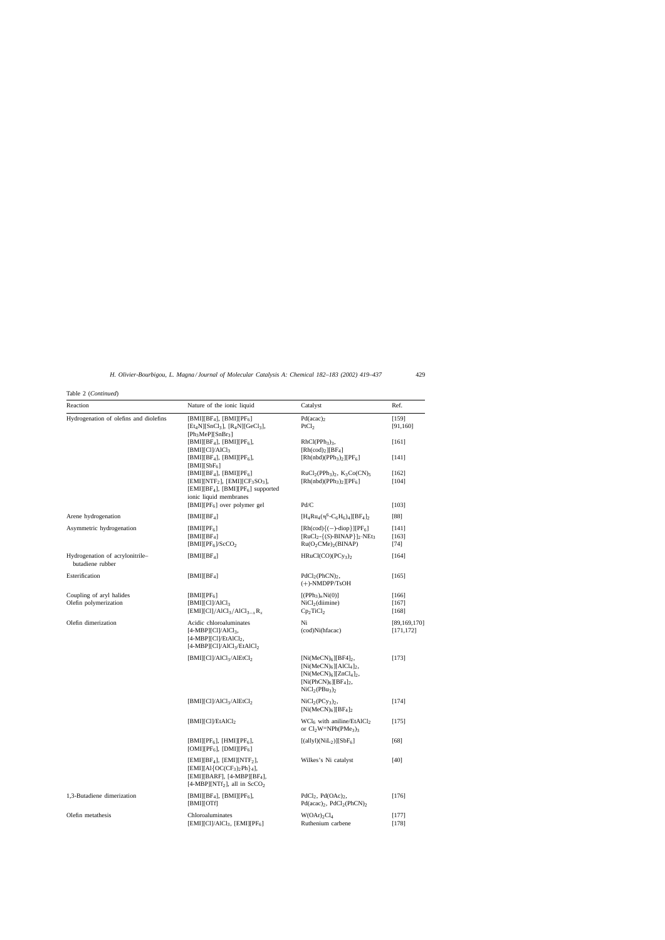Table 2 (*Continued*)

| Reaction                                            | Nature of the ionic liquid                                                                                                                                                                                                       | Catalyst                                                                                                                                                    | Ref.                          |
|-----------------------------------------------------|----------------------------------------------------------------------------------------------------------------------------------------------------------------------------------------------------------------------------------|-------------------------------------------------------------------------------------------------------------------------------------------------------------|-------------------------------|
| Hydrogenation of olefins and diolefins              | $[BMI][BF4], [BMI][PF6]$<br>$[Et_4N][SnCl_3], [R_4N][GeCl_3],$<br>[Ph <sub>3</sub> MeP][SnBr <sub>3</sub> ]                                                                                                                      | Pd(acac) <sub>2</sub><br>PtCl <sub>2</sub>                                                                                                                  | $[159]$<br>[91, 160]          |
|                                                     | [BMI][BF <sub>4</sub> ], [BMI][PF <sub>6</sub> ],<br>[BMI][CI]/AICl <sub>3</sub><br>$[BMI][BF_4]$ , $[BMI][PF_6]$ ,                                                                                                              | $RhCl(PPh3)3$ ,<br>[Rh(cod) <sub>2</sub> ][BF <sub>4</sub> ]<br>$[Rh(nbd)(PPh3)2][PF6]$                                                                     | $[161]$<br>$[141]$            |
|                                                     | [BMI][SbF <sub>6</sub> ]<br>$[BMI][BF4], [BMI][PF6]$<br>$[EMI][NTF_2]$ , $[EMI][CF_3SO_3]$ ,<br>[EMI][BF <sub>4</sub> ], [BMI][PF <sub>6</sub> ] supported<br>ionic liquid membranes<br>[BMI][PF <sub>6</sub> ] over polymer gel | $RuCl2(PPh3)2$ , $K3Co(CN)5$<br>$[Rh(nbd)(PPh_3)_2][PF_6]$<br>$\mathbf{Pd}/\mathbf{C}$                                                                      | $[162]$<br>$[104]$<br>$[103]$ |
| Arene hydrogenation                                 | $[BMI][BF_4]$                                                                                                                                                                                                                    | $[H_4Ru_4(\eta^6-C_6H_6)_4][BF_4]_2$                                                                                                                        | $[88]$                        |
| Asymmetric hydrogenation                            | $[BMI][PF_6]$<br>$[BMI][BF_4]$<br>$[BMI][PF_6]/SCO_2$                                                                                                                                                                            | $[Rh(cod){(-)}-drop}]$ [PF <sub>6</sub> ]<br>$[RuCl_2-\{(S)-BINAP\}]_2\cdot NEt_3$<br>$Ru(O2CMe)2(BINAP))$                                                  | $[141]$<br>$[163]$<br>$[74]$  |
| Hydrogenation of acrylonitrile-<br>butadiene rubber | $[BMI][BF_4]$                                                                                                                                                                                                                    | $HRuCl(CO)(PCy_3)_2$                                                                                                                                        | $[164]$                       |
| Esterification                                      | $PdCl2(PhCN)2$ ,<br>$[BMI][BF_4]$<br>$(+)$ -NMDPP/TsOH                                                                                                                                                                           |                                                                                                                                                             | $[165]$                       |
| Coupling of aryl halides<br>Olefin polymerization   | $[BMI][PF_6]$<br>[BMI][CI]/AICl <sub>3</sub><br>$[EMI][Cl]/AICl_3/AICl_{3-x}R_x$                                                                                                                                                 | $[({\rm PPh}_3)_n{\rm Ni}(0)]$<br>NiCl <sub>2</sub> (dimine)<br>$Cp_2TiCl_2$                                                                                | [166]<br>$[167]$<br>$[168]$   |
| Olefin dimerization                                 | Acidic chloroaluminates<br>$[4-MBP][Cl]/A Cl3$ ,<br>$[4-MBP][CI]/EtAICl2$ ,<br>[4-MBP][Cl]/AlCl <sub>3</sub> /EtAlCl <sub>2</sub>                                                                                                | Ni<br>(cod)Ni(hfacac)                                                                                                                                       | [89, 169, 170]<br>[171, 172]  |
|                                                     | $[BMI][Cl]/AICl_3/AIEtCl_2$                                                                                                                                                                                                      | $[Ni(MeCN)6][BF4]_2$ ,<br>$[Ni(MeCN)6][AICl4]$ <sub>2</sub> ,<br>$[Ni(MeCN)6][ZnCl4]$ <sub>2</sub> ,<br>$[Ni(PhCN)6][BF4]$ <sub>2</sub> ,<br>$NiCl2(PBu3)2$ | $[173]$                       |
|                                                     | $[BMI][Cl]/AICl_3/AIEtCl_2$                                                                                                                                                                                                      | $NiCl2(PCy3)2$ ,<br>$[Ni(MeCN)6][BF4]$                                                                                                                      | $[174]$                       |
|                                                     | [BMI][Cl]/EtAlCl <sub>2</sub>                                                                                                                                                                                                    | $WCl_6$ with aniline/EtAlCl <sub>2</sub><br>or $Cl2W=NPh(PMe3)3$                                                                                            | [175]                         |
|                                                     | [BMI][ $PF_6$ ], [HMI][ $PF_6$ ],<br>[OMI][ $PF_6$ ], [DMI][ $PF_6$ ]                                                                                                                                                            | $[(\text{allyl})(\text{Nil}_2)][\text{SbF}_6]$                                                                                                              | [68]                          |
|                                                     | $[EMI][BF4], [EMI][NTF2],$<br>$[EMI][Al{OC(CF_3)_2Ph}_4],$<br>[EMI][BARF], [4-MBP][BF <sub>4</sub> ],<br>$[4-MBP][NTf2],$ all in ScCO <sub>2</sub>                                                                               | Wilkes's Ni catalyst                                                                                                                                        | $[40]$                        |
| 1,3-Butadiene dimerization                          | $[BMI][BF_4]$ , $[BMI][PF_6]$ ,<br>[BMI][OTf]                                                                                                                                                                                    | $PdCl_2$ , $Pd(OAc)_2$ ,<br>$Pd(acac)2$ , $PdCl2(PhCN)2$                                                                                                    | [176]                         |
| Olefin metathesis                                   | Chloroaluminates<br>$[EMI][Cl]/AICl_3$ , $[EMI][PF_6]$                                                                                                                                                                           | $W(OAr)_{2}Cl4$<br>Ruthenium carbene                                                                                                                        | $[177]$<br>$[178]$            |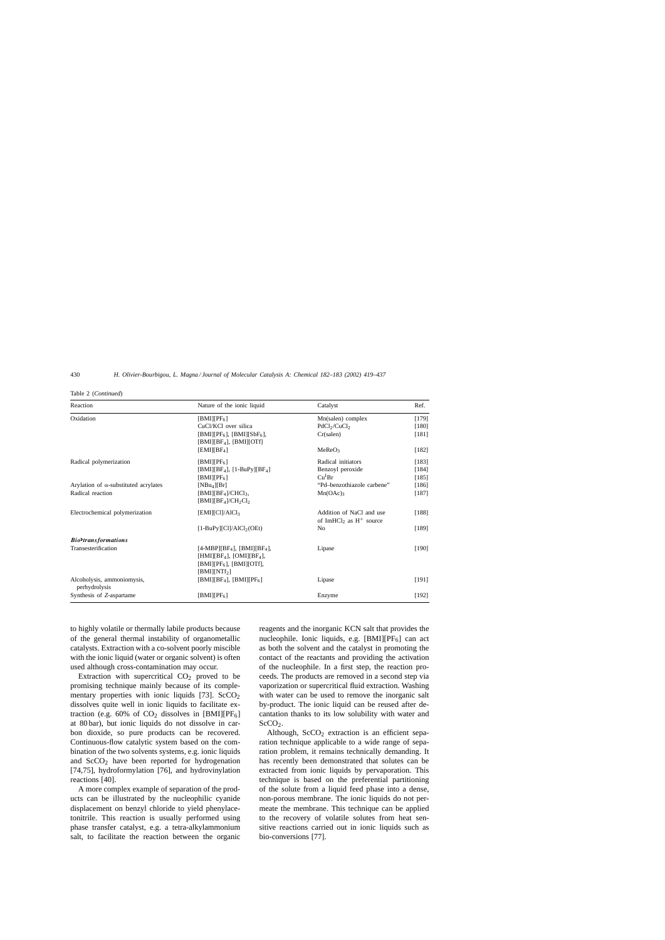| Table 2 ( <i>Continued</i> ) |  |  |  |
|------------------------------|--|--|--|
|------------------------------|--|--|--|

| Reaction                                     | Nature of the ionic liquid                                       | Catalyst                                                          | Ref.    |  |
|----------------------------------------------|------------------------------------------------------------------|-------------------------------------------------------------------|---------|--|
| Oxidation                                    | $[BMI][PF_6]$                                                    | Mn(salen) complex                                                 | $[179]$ |  |
|                                              | CuCl/KCl over silica                                             | PdCl <sub>2</sub> /CuCl <sub>2</sub>                              | [180]   |  |
|                                              | $[BMI][PF_6]$ , $[BMI][SbF_6]$ ,<br>$[BMI][BF_4]$ , $[BMI][OTf]$ | Cr(salen)                                                         | [181]   |  |
|                                              | [EMI][BF <sub>4</sub> ]                                          | MeReO <sub>3</sub>                                                | $[182]$ |  |
| Radical polymerization                       | [BMI][PF <sub>6</sub> ]                                          | Radical initiators                                                | [183]   |  |
|                                              | $[BMI][BF_4]$ , $[1-BuPy][BF_4]$                                 | Benzoyl peroxide                                                  | [184]   |  |
|                                              | $[BMI][PF_6]$                                                    | $Cu^{I}Br$                                                        | [185]   |  |
| Arylation of $\alpha$ -substituted acrylates | $[NBu_4][Br]$                                                    | "Pd-benzothiazole carbene"                                        | [186]   |  |
| Radical reaction                             | $[BMI][BF4]/CHCl3$ ,                                             | Mn(OAc) <sub>3</sub>                                              | [187]   |  |
|                                              | $[BMI][BF4]/CH2Cl2$                                              |                                                                   |         |  |
| Electrochemical polymerization               | [EMI][CI]/AICl <sub>3</sub>                                      | Addition of NaCl and use<br>of ImHCl <sub>2</sub> as $H^+$ source | [188]   |  |
|                                              | $[1-BuPy][Cl]/AICl2(OEt)$                                        | No                                                                | [189]   |  |
| <b>Bio<sup>3</sup>transformations</b>        |                                                                  |                                                                   |         |  |
| Transesterification                          | $[4-MBP][BF4], [BMI][BF4],$                                      | Lipase                                                            | [190]   |  |
|                                              | $[HMI][BF4], [OMI][BF4],$                                        |                                                                   |         |  |
|                                              | $[BMII[PF_6], [BMII[OTf]],$                                      |                                                                   |         |  |
|                                              | $[BMI][NTf_2]$                                                   |                                                                   |         |  |
| Alcoholysis, ammoniomysis,<br>perhydrolysis  | $[BMI][BF_4]$ , $[BMI][PF_6]$                                    | Lipase                                                            | [191]   |  |
| Synthesis of Z-aspartame                     | [BMI][PF <sub>6</sub> ]                                          | Enzyme                                                            | $[192]$ |  |

to highly volatile or thermally labile products because of the general thermal instability of organometallic catalysts. Extraction with a co-solvent poorly miscible with the ionic liquid (water or organic solvent) is often used although cross-contamination may occur.

Extraction with supercritical  $CO<sub>2</sub>$  proved to be promising technique mainly because of its complementary properties with ionic liquids  $[73]$ . ScCO<sub>2</sub> dissolves quite well in ionic liquids to facilitate extraction (e.g. 60% of  $CO<sub>2</sub>$  dissolves in [BMI][PF<sub>6</sub>] at 80 bar), but ionic liquids do not dissolve in carbon dioxide, so pure products can be recovered. Continuous-flow catalytic system based on the combination of the two solvents systems, e.g. ionic liquids and ScCO2 have been reported for hydrogenation [74,75], hydroformylation [76], and hydrovinylation reactions [40].

A more complex example of separation of the products can be illustrated by the nucleophilic cyanide displacement on benzyl chloride to yield phenylacetonitrile. This reaction is usually performed using phase transfer catalyst, e.g. a tetra-alkylammonium salt, to facilitate the reaction between the organic reagents and the inorganic KCN salt that provides the nucleophile. Ionic liquids, e.g.  $[BMI][PF_6]$  can act as both the solvent and the catalyst in promoting the contact of the reactants and providing the activation of the nucleophile. In a first step, the reaction proceeds. The products are removed in a second step via vaporization or supercritical fluid extraction. Washing with water can be used to remove the inorganic salt by-product. The ionic liquid can be reused after decantation thanks to its low solubility with water and  $SCO<sub>2</sub>$ .

Although,  $ScCO<sub>2</sub>$  extraction is an efficient separation technique applicable to a wide range of separation problem, it remains technically demanding. It has recently been demonstrated that solutes can be extracted from ionic liquids by pervaporation. This technique is based on the preferential partitioning of the solute from a liquid feed phase into a dense, non-porous membrane. The ionic liquids do not permeate the membrane. This technique can be applied to the recovery of volatile solutes from heat sensitive reactions carried out in ionic liquids such as bio-conversions [77].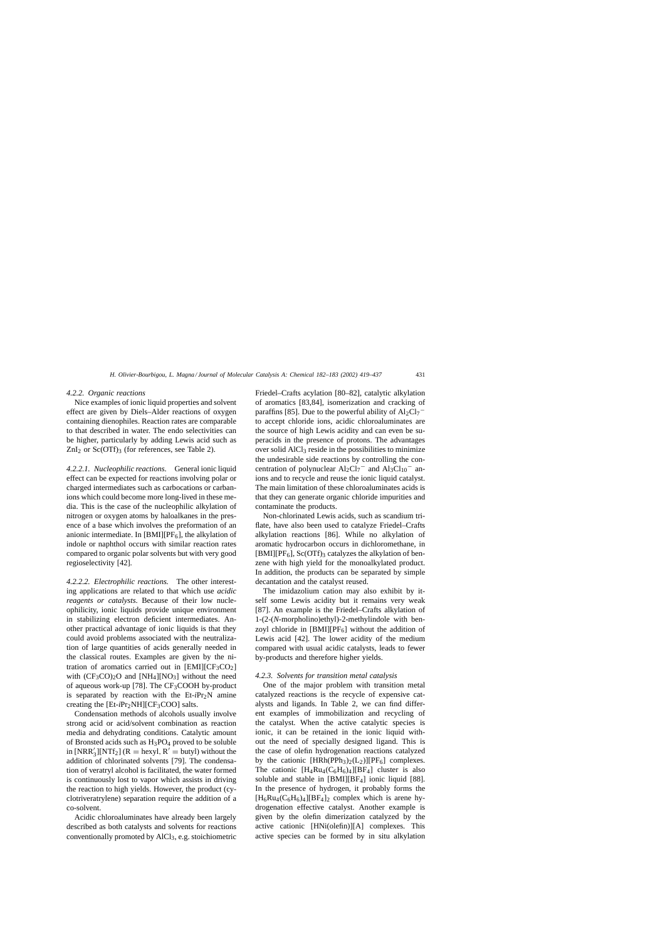### *4.2.2. Organic reactions*

Nice examples of ionic liquid properties and solvent effect are given by Diels–Alder reactions of oxygen containing dienophiles. Reaction rates are comparable to that described in water. The endo selectivities can be higher, particularly by adding Lewis acid such as  $ZnI<sub>2</sub>$  or Sc(OTf)<sub>3</sub> (for references, see Table 2).

*4.2.2.1. Nucleophilic reactions.* General ionic liquid effect can be expected for reactions involving polar or charged intermediates such as carbocations or carbanions which could become more long-lived in these media. This is the case of the nucleophilic alkylation of nitrogen or oxygen atoms by haloalkanes in the presence of a base which involves the preformation of an anionic intermediate. In  $[BMI][PF_6]$ , the alkylation of indole or naphthol occurs with similar reaction rates compared to organic polar solvents but with very good regioselectivity [42].

*4.2.2.2. Electrophilic reactions.* The other interesting applications are related to that which use *acidic reagents or catalysts*. Because of their low nucleophilicity, ionic liquids provide unique environment in stabilizing electron deficient intermediates. Another practical advantage of ionic liquids is that they could avoid problems associated with the neutralization of large quantities of acids generally needed in the classical routes. Examples are given by the nitration of aromatics carried out in  $[EMI][CF<sub>3</sub>CO<sub>2</sub>]$ with  $(CF_3CO)_2O$  and  $[NH_4][NO_3]$  without the need of aqueous work-up [78]. The  $CF<sub>3</sub>COOH$  by-product is separated by reaction with the  $Et -iPr_2N$  amine creating the  $[Et-iPr<sub>2</sub>NH][CF<sub>3</sub>COO]$  salts.

Condensation methods of alcohols usually involve strong acid or acid/solvent combination as reaction media and dehydrating conditions. Catalytic amount of Bronsted acids such as  $H_3PO_4$  proved to be soluble in  $[NRR'_3][NTf_2]$   $(R = \text{hexyl}, R' = \text{butyl})$  without the addition of chlorinated solvents [79]. The condensation of veratryl alcohol is facilitated, the water formed is continuously lost to vapor which assists in driving the reaction to high yields. However, the product (cyclotriveratrylene) separation require the addition of a co-solvent.

Acidic chloroaluminates have already been largely described as both catalysts and solvents for reactions conventionally promoted by AlCl3, e.g. stoichiometric

Friedel–Crafts acylation [80–82], catalytic alkylation of aromatics [83,84], isomerization and cracking of paraffins [85]. Due to the powerful ability of  $Al_2Cl_7^$ to accept chloride ions, acidic chloroaluminates are the source of high Lewis acidity and can even be superacids in the presence of protons. The advantages over solid AlCl3 reside in the possibilities to minimize the undesirable side reactions by controlling the concentration of polynuclear  $Al_2Cl_7^-$  and  $Al_3Cl_{10}^-$  anions and to recycle and reuse the ionic liquid catalyst. The main limitation of these chloroaluminates acids is that they can generate organic chloride impurities and contaminate the products.

Non-chlorinated Lewis acids, such as scandium triflate, have also been used to catalyze Friedel–Crafts alkylation reactions [86]. While no alkylation of aromatic hydrocarbon occurs in dichloromethane, in [BMI][PF<sub>6</sub>], Sc(OTf)<sub>3</sub> catalyzes the alkylation of benzene with high yield for the monoalkylated product. In addition, the products can be separated by simple decantation and the catalyst reused.

The imidazolium cation may also exhibit by itself some Lewis acidity but it remains very weak [87]. An example is the Friedel–Crafts alkylation of 1-(2-(*N*-morpholino)ethyl)-2-methylindole with benzoyl chloride in  $[BMI][PF_6]$  without the addition of Lewis acid [42]. The lower acidity of the medium compared with usual acidic catalysts, leads to fewer by-products and therefore higher yields.

#### *4.2.3. Solvents for transition metal catalysis*

One of the major problem with transition metal catalyzed reactions is the recycle of expensive catalysts and ligands. In Table 2, we can find different examples of immobilization and recycling of the catalyst. When the active catalytic species is ionic, it can be retained in the ionic liquid without the need of specially designed ligand. This is the case of olefin hydrogenation reactions catalyzed by the cationic  $[HRh(PPh<sub>3</sub>)<sub>2</sub>(L<sub>2</sub>)][PF<sub>6</sub>]$  complexes. The cationic  $[H_4Ru_4(C_6H_6)_4][BF_4]$  cluster is also soluble and stable in [BMI][BF4] ionic liquid [88]. In the presence of hydrogen, it probably forms the  $[H_6Ru_4(C_6H_6)_4][BF_4]_2$  complex which is arene hydrogenation effective catalyst. Another example is given by the olefin dimerization catalyzed by the active cationic [HNi(olefin)][A] complexes. This active species can be formed by in situ alkylation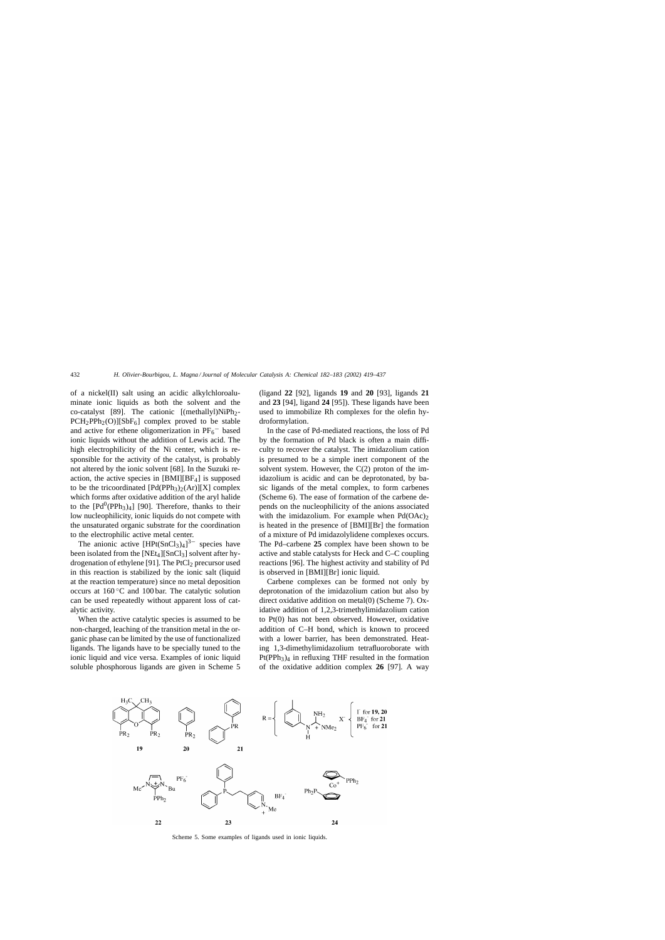of a nickel(II) salt using an acidic alkylchloroaluminate ionic liquids as both the solvent and the co-catalyst [89]. The cationic  $[(\text{methallyl})\text{NiPh}_2$ - $PCH_2PPh_2(O)][SbF_6]$  complex proved to be stable and active for ethene oligomerization in  $PF_6^-$  based ionic liquids without the addition of Lewis acid. The high electrophilicity of the Ni center, which is responsible for the activity of the catalyst, is probably not altered by the ionic solvent [68]. In the Suzuki reaction, the active species in  $[BMI][BF_4]$  is supposed to be the tricoordinated  $[Pd(PPh<sub>3</sub>)<sub>2</sub>(Ar)][X]$  complex which forms after oxidative addition of the aryl halide to the  $[{\rm Pd}^0({\rm PPh}_3)_4]$  [90]. Therefore, thanks to their low nucleophilicity, ionic liquids do not compete with the unsaturated organic substrate for the coordination to the electrophilic active metal center.

The anionic active  $[HPt(SnCl<sub>3</sub>)<sub>4</sub>]<sup>3-</sup>$  species have been isolated from the  $[NEt_4][SnCl_3]$  solvent after hydrogenation of ethylene [91]. The  $PtCl<sub>2</sub>$  precursor used in this reaction is stabilized by the ionic salt (liquid at the reaction temperature) since no metal deposition occurs at  $160^{\circ}$ C and  $100$  bar. The catalytic solution can be used repeatedly without apparent loss of catalytic activity.

When the active catalytic species is assumed to be non-charged, leaching of the transition metal in the organic phase can be limited by the use of functionalized ligands. The ligands have to be specially tuned to the ionic liquid and vice versa. Examples of ionic liquid soluble phosphorous ligands are given in Scheme 5 (ligand **22** [92], ligands **19** and **20** [93], ligands **21** and **23** [94], ligand **24** [95]). These ligands have been used to immobilize Rh complexes for the olefin hydroformylation.

In the case of Pd-mediated reactions, the loss of Pd by the formation of Pd black is often a main difficulty to recover the catalyst. The imidazolium cation is presumed to be a simple inert component of the solvent system. However, the  $C(2)$  proton of the imidazolium is acidic and can be deprotonated, by basic ligands of the metal complex, to form carbenes (Scheme 6). The ease of formation of the carbene depends on the nucleophilicity of the anions associated with the imidazolium. For example when  $Pd(OAc)_{2}$ is heated in the presence of [BMI][Br] the formation of a mixture of Pd imidazolylidene complexes occurs. The Pd–carbene **25** complex have been shown to be active and stable catalysts for Heck and C–C coupling reactions [96]. The highest activity and stability of Pd is observed in [BMI][Br] ionic liquid.

Carbene complexes can be formed not only by deprotonation of the imidazolium cation but also by direct oxidative addition on metal(0) (Scheme 7). Oxidative addition of 1,2,3-trimethylimidazolium cation to Pt(0) has not been observed. However, oxidative addition of C–H bond, which is known to proceed with a lower barrier, has been demonstrated. Heating 1,3-dimethylimidazolium tetrafluoroborate with  $Pt(PPh<sub>3</sub>)<sub>4</sub>$  in refluxing THF resulted in the formation of the oxidative addition complex **26** [97]. A way



Scheme 5. Some examples of ligands used in ionic liquids.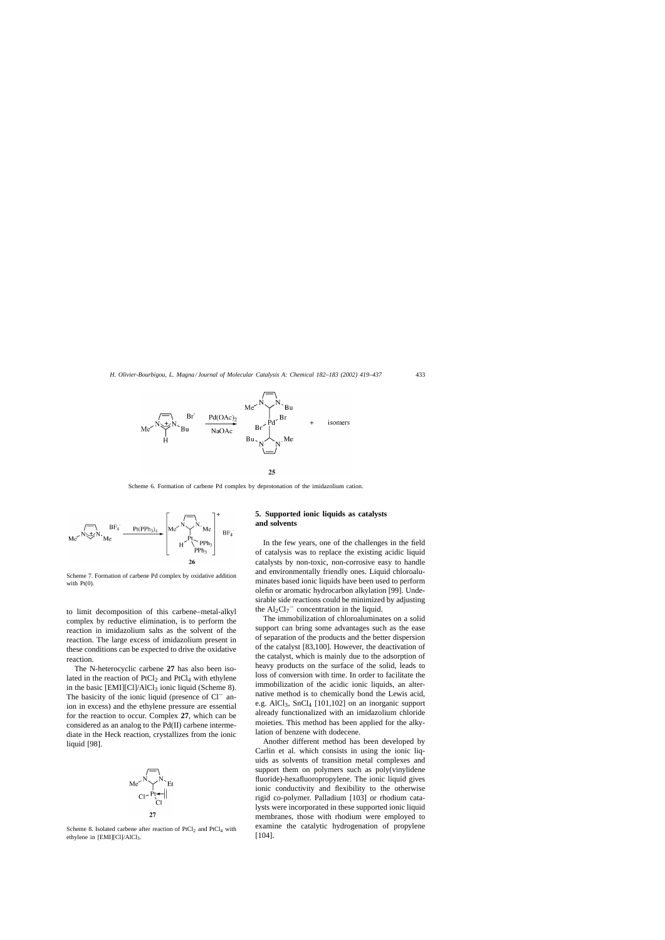$Me^{\prime N}$ <br>  $Me^{\prime N}$ <br>  $Me^{\prime N}$ <br>  $He^{\prime N}$ <br>  $He^{\prime N}$ <br>  $He^{\prime N}$ <br>  $He^{\prime N}$ <br>  $Be^{\prime N}$ <br>  $Be^{\prime N}$ <br>  $Be^{\prime N}$ <br>  $Be^{\prime N}$ <br>  $Be^{\prime N}$ <br>  $Be^{\prime N}$ <br>  $Be^{\prime N}$ <br>  $Be^{\prime N}$ <br>  $Be^{\prime N}$ <br>  $Be^{\prime N}$ <br>  $Be^{\prime N}$ <br>  $Be^{\prime N}$ <br>  $Be^{\prime N}$ <br>  $Be^{\prime N}$ <br>  $Be^{\prime N}$ <br>

Scheme 6. Formation of carbene Pd complex by deprotonation of the imidazolium cation.

25



Scheme 7. Formation of carbene Pd complex by oxidative addition with  $Pt(0)$ .

to limit decomposition of this carbene–metal-alkyl complex by reductive elimination, is to perform the reaction in imidazolium salts as the solvent of the reaction. The large excess of imidazolium present in these conditions can be expected to drive the oxidative reaction.

The N-heterocyclic carbene **27** has also been isolated in the reaction of  $PtCl<sub>2</sub>$  and  $PtCl<sub>4</sub>$  with ethylene in the basic  $[EMI][C]/AICI_3$  ionic liquid (Scheme 8). The basicity of the ionic liquid (presence of Cl− anion in excess) and the ethylene pressure are essential for the reaction to occur. Complex **27**, which can be considered as an analog to the Pd(II) carbene intermediate in the Heck reaction, crystallizes from the ionic liquid [98].



Scheme 8. Isolated carbene after reaction of  $PrCl<sub>2</sub>$  and  $PrCl<sub>4</sub>$  with ethylene in [EMI][Cl]/AlCl<sub>3</sub>.

### **5. Supported ionic liquids as catalysts and solvents**

In the few years, one of the challenges in the field of catalysis was to replace the existing acidic liquid catalysts by non-toxic, non-corrosive easy to handle and environmentally friendly ones. Liquid chloroaluminates based ionic liquids have been used to perform olefin or aromatic hydrocarbon alkylation [99]. Undesirable side reactions could be minimized by adjusting the  $Al_2Cl_7$ <sup>-</sup> concentration in the liquid.

isomers

The immobilization of chloroaluminates on a solid support can bring some advantages such as the ease of separation of the products and the better dispersion of the catalyst [83,100]. However, the deactivation of the catalyst, which is mainly due to the adsorption of heavy products on the surface of the solid, leads to loss of conversion with time. In order to facilitate the immobilization of the acidic ionic liquids, an alternative method is to chemically bond the Lewis acid, e.g. AlCl<sub>3</sub>, SnCl<sub>4</sub> [101,102] on an inorganic support already functionalized with an imidazolium chloride moieties. This method has been applied for the alkylation of benzene with dodecene.

Another different method has been developed by Carlin et al. which consists in using the ionic liquids as solvents of transition metal complexes and support them on polymers such as poly(vinylidene fluoride)-hexafluoropropylene. The ionic liquid gives ionic conductivity and flexibility to the otherwise rigid co-polymer. Palladium [103] or rhodium catalysts were incorporated in these supported ionic liquid membranes, those with rhodium were employed to examine the catalytic hydrogenation of propylene [104].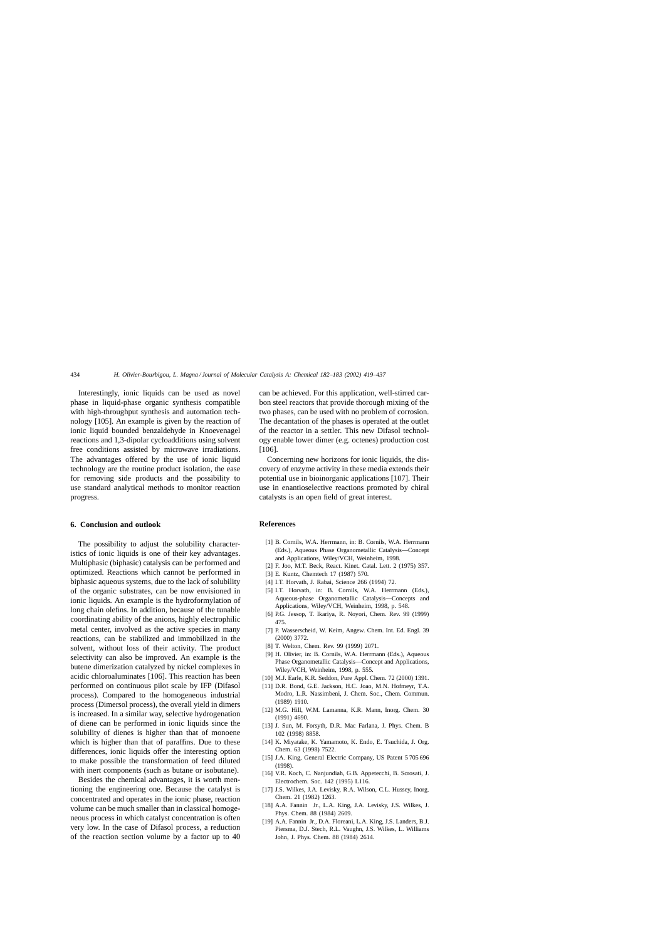Interestingly, ionic liquids can be used as novel phase in liquid-phase organic synthesis compatible with high-throughput synthesis and automation technology [105]. An example is given by the reaction of ionic liquid bounded benzaldehyde in Knoevenagel reactions and 1,3-dipolar cycloadditions using solvent free conditions assisted by microwave irradiations. The advantages offered by the use of ionic liquid technology are the routine product isolation, the ease for removing side products and the possibility to use standard analytical methods to monitor reaction progress.

### **6. Conclusion and outlook**

The possibility to adjust the solubility characteristics of ionic liquids is one of their key advantages. Multiphasic (biphasic) catalysis can be performed and optimized. Reactions which cannot be performed in biphasic aqueous systems, due to the lack of solubility of the organic substrates, can be now envisioned in ionic liquids. An example is the hydroformylation of long chain olefins. In addition, because of the tunable coordinating ability of the anions, highly electrophilic metal center, involved as the active species in many reactions, can be stabilized and immobilized in the solvent, without loss of their activity. The product selectivity can also be improved. An example is the butene dimerization catalyzed by nickel complexes in acidic chloroaluminates [106]. This reaction has been performed on continuous pilot scale by IFP (Difasol process). Compared to the homogeneous industrial process (Dimersol process), the overall yield in dimers is increased. In a similar way, selective hydrogenation of diene can be performed in ionic liquids since the solubility of dienes is higher than that of monoene which is higher than that of paraffins. Due to these differences, ionic liquids offer the interesting option to make possible the transformation of feed diluted with inert components (such as butane or isobutane).

Besides the chemical advantages, it is worth mentioning the engineering one. Because the catalyst is concentrated and operates in the ionic phase, reaction volume can be much smaller than in classical homogeneous process in which catalyst concentration is often very low. In the case of Difasol process, a reduction of the reaction section volume by a factor up to 40 can be achieved. For this application, well-stirred carbon steel reactors that provide thorough mixing of the two phases, can be used with no problem of corrosion. The decantation of the phases is operated at the outlet of the reactor in a settler. This new Difasol technology enable lower dimer (e.g. octenes) production cost [106].

Concerning new horizons for ionic liquids, the discovery of enzyme activity in these media extends their potential use in bioinorganic applications [107]. Their use in enantioselective reactions promoted by chiral catalysts is an open field of great interest.

### **References**

- [1] B. Cornils, W.A. Herrmann, in: B. Cornils, W.A. Herrmann (Eds.), Aqueous Phase Organometallic Catalysis—Concept and Applications, Wiley/VCH, Weinheim, 1998.
- [2] F. Joo, M.T. Beck, React. Kinet. Catal. Lett. 2 (1975) 357.
- [3] E. Kuntz, Chemtech 17 (1987) 570.
- [4] I.T. Horvath, J. Rabai, Science 266 (1994) 72.
- [5] I.T. Horvath, in: B. Cornils, W.A. Herrmann (Eds.), Aqueous-phase Organometallic Catalysis—Concepts and Applications, Wiley/VCH, Weinheim, 1998, p. 548.
- [6] P.G. Jessop, T. Ikariya, R. Noyori, Chem. Rev. 99 (1999) 475.
- [7] P. Wasserscheid, W. Keim, Angew. Chem. Int. Ed. Engl. 39 (2000) 3772.
- [8] T. Welton, Chem. Rev. 99 (1999) 2071.
- [9] H. Olivier, in: B. Cornils, W.A. Herrmann (Eds.), Aqueous Phase Organometallic Catalysis—Concept and Applications, Wiley/VCH, Weinheim, 1998, p. 555.
- [10] M.J. Earle, K.R. Seddon, Pure Appl. Chem. 72 (2000) 1391.
- [11] D.R. Bond, G.E. Jackson, H.C. Joao, M.N. Hofmeyr, T.A. Modro, L.R. Nassimbeni, J. Chem. Soc., Chem. Commun. (1989) 1910.
- [12] M.G. Hill, W.M. Lamanna, K.R. Mann, Inorg. Chem. 30 (1991) 4690.
- [13] J. Sun, M. Forsyth, D.R. Mac Farlana, J. Phys. Chem. B 102 (1998) 8858.
- [14] K. Miyatake, K. Yamamoto, K. Endo, E. Tsuchida, J. Org. Chem. 63 (1998) 7522.
- [15] J.A. King, General Electric Company, US Patent 5 705 696 (1998).
- [16] V.R. Koch, C. Nanjundiah, G.B. Appetecchi, B. Scrosati, J. Electrochem. Soc. 142 (1995) L116.
- [17] J.S. Wilkes, J.A. Levisky, R.A. Wilson, C.L. Hussey, Inorg. Chem. 21 (1982) 1263.
- [18] A.A. Fannin Jr., L.A. King, J.A. Levisky, J.S. Wilkes, J. Phys. Chem. 88 (1984) 2609.
- [19] A.A. Fannin Jr., D.A. Floreani, L.A. King, J.S. Landers, B.J. Piersma, D.J. Stech, R.L. Vaughn, J.S. Wilkes, L. Williams John, J. Phys. Chem. 88 (1984) 2614.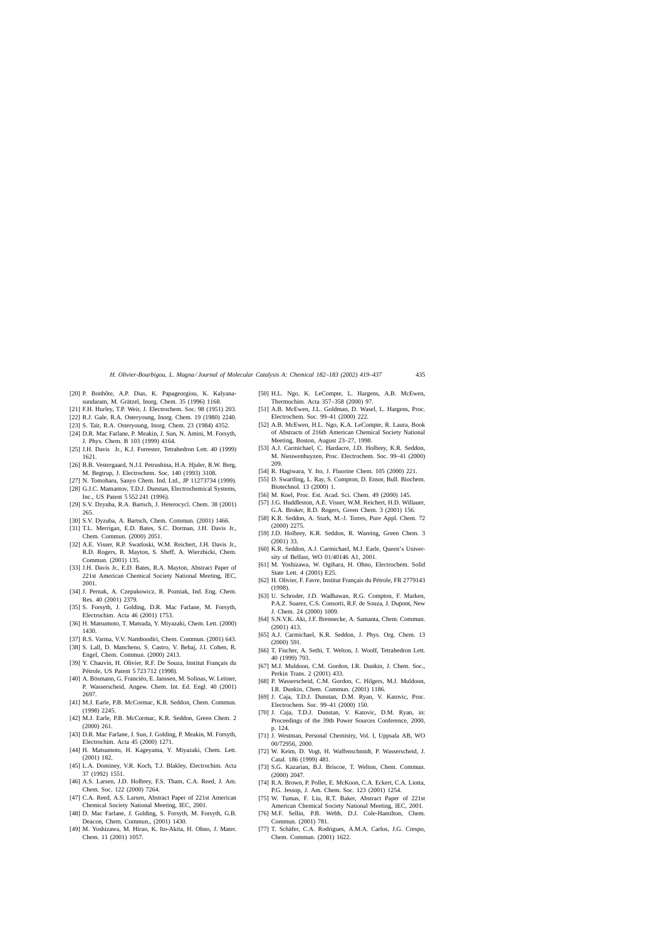- [20] P. Bonhôte, A.P. Dias, K. Papageorgiou, K. Kalyanasundaram, M. Grätzel, Inorg. Chem. 35 (1996) 1168.
- [21] F.H. Hurley, T.P. Weir, J. Electrochem. Soc. 98 (1951) 203.
- [22] R.J. Gale, R.A. Osteryoung, Inorg. Chem. 19 (1980) 2240.
- [23] S. Tait, R.A. Osteryoung, Inorg. Chem. 23 (1984) 4352.
- [24] D.R. Mac Farlane, P. Meakin, J. Sun, N. Amini, M. Forsyth, J. Phys. Chem. B 103 (1999) 4164.
- [25] J.H. Davis Jr., K.J. Forrester, Tetrahedron Lett. 40 (1999) 1621.
- [26] B.B. Vestergaard, N.J.I. Petrushina, H.A. Hiuler, R.W. Berg, M. Begtrup, J. Electrochem. Soc. 140 (1993) 3108.
- [27] N. Tomoharu, Sanyo Chem. Ind. Ltd., JP 11273734 (1999).
- [28] G.J.C. Mamantov, T.D.J. Dunstan, Electrochemical Systems, Inc., US Patent 5 552 241 (1996).
- [29] S.V. Dzyuba, R.A. Bartsch, J. Heterocycl. Chem. 38 (2001) 265.
- [30] S.V. Dyzuba, A. Bartsch, Chem. Commun. (2001) 1466.
- [31] T.L. Merrigan, E.D. Bates, S.C. Dorman, J.H. Davis Jr., Chem. Commun. (2000) 2051.
- [32] A.E. Visser, R.P. Swatloski, W.M. Reichert, J.H. Davis Jr., R.D. Rogers, R. Mayton, S. Sheff, A. Wierzbicki, Chem. Commun. (2001) 135.
- [33] J.H. Davis Jr., E.D. Bates, R.A. Mayton, Abstract Paper of 221st American Chemical Society National Meeting, IEC, 2001.
- [34] J. Pernak, A. Czepukowicz, R. Pozniak, Ind. Eng. Chem. Res. 40 (2001) 2379.
- [35] S. Forsyth, J. Golding, D.R. Mac Farlane, M. Forsyth, Electrochim. Acta 46 (2001) 1753.
- [36] H. Matsumoto, T. Matsuda, Y. Miyazaki, Chem. Lett. (2000) 1430.
- [37] R.S. Varma, V.V. Namboodiri, Chem. Commun. (2001) 643.
- [38] S. Lall, D. Mancheno, S. Castro, V. Behaj, J.I. Cohen, R. Engel, Chem. Commun. (2000) 2413.
- [39] Y. Chauvin, H. Olivier, R.F. De Souza, Institut Français du Pétrole, US Patent 5 723 712 (1998).
- [40] A. Bösmann, G. Francièo, E. Janssen, M. Solinas, W. Leitner, P. Wasserscheid, Angew. Chem. Int. Ed. Engl. 40 (2001) 2697.
- [41] M.J. Earle, P.B. McCormac, K.R. Seddon, Chem. Commun. (1998) 2245.
- [42] M.J. Earle, P.B. McCormac, K.R. Seddon, Green Chem. 2 (2000) 261.
- [43] D.R. Mac Farlane, J. Sun, J. Golding, P. Meakin, M. Forsyth, Electrochim. Acta 45 (2000) 1271.
- [44] H. Matsumoto, H. Kageyama, Y. Miyazaki, Chem. Lett. (2001) 182.
- [45] L.A. Dominey, V.R. Koch, T.J. Blakley, Electrochim. Acta 37 (1992) 1551.
- [46] A.S. Larsen, J.D. Holbrey, F.S. Tham, C.A. Reed, J. Am. Chem. Soc. 122 (2000) 7264.
- [47] C.A. Reed, A.S. Larsen, Abstract Paper of 221st American Chemical Society National Meeting, IEC, 2001.
- [48] D. Mac Farlane, J. Golding, S. Forsyth, M. Forsyth, G.B. Deacon, Chem. Commun., (2001) 1430.
- [49] M. Yoshizawa, M. Hirao, K. Ito-Akita, H. Ohno, J. Mater. Chem. 11 (2001) 1057.
- [50] H.L. Ngo, K. LeCompte, L. Hargens, A.B. McEwen, Thermochim. Acta 357–358 (2000) 97.
- [51] A.B. McEwen, J.L. Goldman, D. Wasel, L. Hargens, Proc. Electrochem. Soc. 99–41 (2000) 222.
- [52] A.B. McEwen, H.L. Ngo, K.A. LeCompte, R. Laura, Book of Abstracts of 216th American Chemical Society National Meeting, Boston, August 23–27, 1998.
- [53] A.J. Carmichael, C. Hardacre, J.D. Holbrey, K.R. Seddon, M. Nieuwenhuyzen, Proc. Electrochem. Soc. 99–41 (2000) 209.
- [54] R. Hagiwara, Y. Ito, J. Fluorine Chem. 105 (2000) 221.
- [55] D. Swartling, L. Ray, S. Compton, D. Ensor, Bull. Biochem. Biotechnol. 13 (2000) 1.
- [56] M. Koel, Proc. Est. Acad. Sci. Chem. 49 (2000) 145.
- [57] J.G. Huddleston, A.E. Visser, W.M. Reichert, H.D. Willauer, G.A. Broker, R.D. Rogers, Green Chem. 3 (2001) 156.
- [58] K.R. Seddon, A. Stark, M.-J. Torres, Pure Appl. Chem. 72 (2000) 2275.
- [59] J.D. Holbrey, K.R. Seddon, R. Wareing, Green Chem. 3 (2001) 33.
- [60] K.R. Seddon, A.J. Carmichael, M.J. Earle, Queen's University of Belfast, WO 01/40146 A1, 2001.
- [61] M. Yoshizawa, W. Ogihara, H. Ohno, Electrochem. Solid State Lett. 4 (2001) E25.
- [62] H. Olivier, F. Favre, Institut Français du Pétrole, FR 2779143 (1998).
- [63] U. Schroder, J.D. Wadhawan, R.G. Compton, F. Marken, P.A.Z. Suarez, C.S. Consorti, R.F. de Souza, J. Dupont, New J. Chem. 24 (2000) 1009.
- [64] S.N.V.K. Aki, J.F. Brennecke, A. Samanta, Chem. Commun. (2001) 413.
- [65] A.J. Carmichael, K.R. Seddon, J. Phys. Org. Chem. 13 (2000) 591.
- [66] T. Fischer, A. Sethi, T. Welton, J. Woolf, Tetrahedron Lett. 40 (1999) 793.
- [67] M.J. Muldoon, C.M. Gordon, I.R. Dunkin, J. Chem. Soc., Perkin Trans. 2 (2001) 433.
- [68] P. Wasserscheid, C.M. Gordon, C. Hilgers, M.J. Muldoon, I.R. Dunkin, Chem. Commun. (2001) 1186.
- [69] J. Caja, T.D.J. Dunstan, D.M. Ryan, V. Katovic, Proc. Electrochem. Soc. 99–41 (2000) 150.
- [70] J. Caja, T.D.J. Dunstan, V. Katovic, D.M. Ryan, in: Proceedings of the 39th Power Sources Conference, 2000, p. 124.
- [71] J. Westman, Personal Chemistry, Vol. I, Uppsala AB, WO 00/72956, 2000.
- [72] W. Keim, D. Vogt, H. Waffenschmidt, P. Wasserscheid, J. Catal. 186 (1999) 481.
- [73] S.G. Kazarian, B.J. Briscoe, T. Welton, Chem. Commun. (2000) 2047.
- [74] R.A. Brown, P. Pollet, E. McKoon, C.A. Eckert, C.A. Liotta, P.G. Jessop, J. Am. Chem. Soc. 123 (2001) 1254.
- [75] W. Tumas, F. Liu, R.T. Baker, Abstract Paper of 221st American Chemical Society National Meeting, IEC, 2001.
- [76] M.F. Sellin, P.B. Webb, D.J. Cole-Hamilton, Chem. Commun. (2001) 781.
- [77] T. Schäfer, C.A. Rodrigues, A.M.A. Carlos, J.G. Crespo, Chem. Commun. (2001) 1622.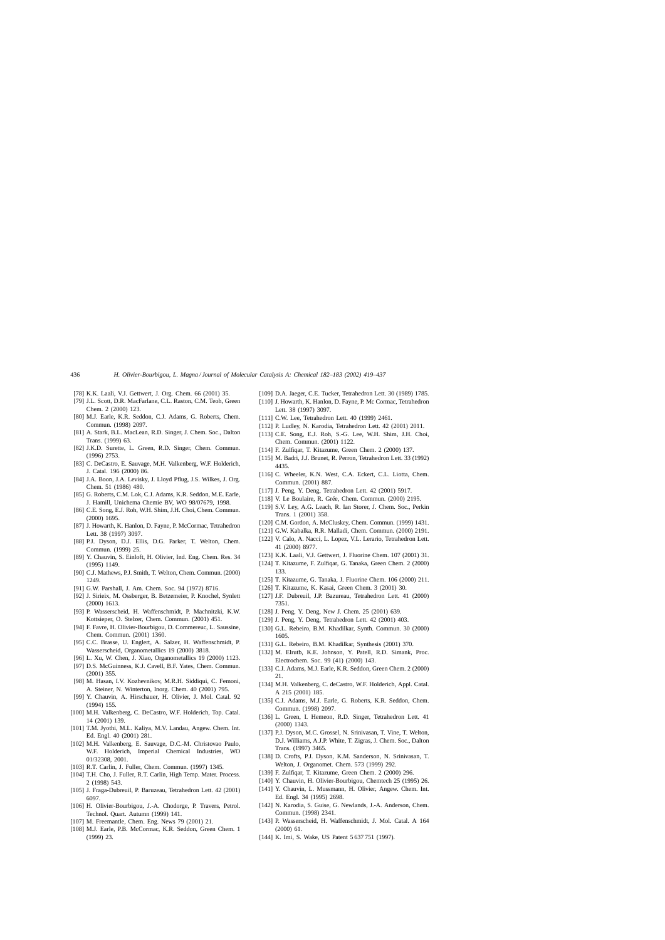- [78] K.K. Laali, V.J. Gettwert, J. Org. Chem. 66 (2001) 35.
- [79] J.L. Scott, D.R. MacFarlane, C.L. Raston, C.M. Teoh, Green Chem. 2 (2000) 123.
- [80] M.J. Earle, K.R. Seddon, C.J. Adams, G. Roberts, Chem. Commun. (1998) 2097.
- [81] A. Stark, B.L. MacLean, R.D. Singer, J. Chem. Soc., Dalton Trans. (1999) 63.
- [82] J.K.D. Surette, L. Green, R.D. Singer, Chem. Commun. (1996) 2753.
- [83] C. DeCastro, E. Sauvage, M.H. Valkenberg, W.F. Holderich, J. Catal. 196 (2000) 86.
- [84] J.A. Boon, J.A. Levisky, J. Lloyd Pflug, J.S. Wilkes, J. Org. Chem. 51 (1986) 480.
- [85] G. Roberts, C.M. Lok, C.J. Adams, K.R. Seddon, M.E. Earle, J. Hamill, Unichema Chemie BV, WO 98/07679, 1998.
- [86] C.E. Song, E.J. Roh, W.H. Shim, J.H. Choi, Chem. Commun. (2000) 1695.
- [87] J. Howarth, K. Hanlon, D. Fayne, P. McCormac, Tetrahedron Lett. 38 (1997) 3097.
- [88] P.J. Dyson, D.J. Ellis, D.G. Parker, T. Welton, Chem. Commun. (1999) 25.
- [89] Y. Chauvin, S. Einloft, H. Olivier, Ind. Eng. Chem. Res. 34 (1995) 1149.
- [90] C.J. Mathews, P.J. Smith, T. Welton, Chem. Commun. (2000) 1249.
- [91] G.W. Parshall, J. Am. Chem. Soc. 94 (1972) 8716.
- [92] J. Sirieix, M. Ossberger, B. Betzemeier, P. Knochel, Synlett (2000) 1613.
- [93] P. Wasserscheid, H. Waffenschmidt, P. Machnitzki, K.W. Kottsieper, O. Stelzer, Chem. Commun. (2001) 451.
- [94] F. Favre, H. Olivier-Bourbigou, D. Commereuc, L. Saussine, Chem. Commun. (2001) 1360.
- [95] C.C. Brasse, U. Englert, A. Salzer, H. Waffenschmidt, P. Wasserscheid, Organometallics 19 (2000) 3818.
- [96] L. Xu, W. Chen, J. Xiao, Organometallics 19 (2000) 1123.
- [97] D.S. McGuinness, K.J. Cavell, B.F. Yates, Chem. Commun. (2001) 355.
- [98] M. Hasan, I.V. Kozhevnikov, M.R.H. Siddiqui, C. Femoni, A. Steiner, N. Winterton, Inorg. Chem. 40 (2001) 795.
- [99] Y. Chauvin, A. Hirschauer, H. Olivier, J. Mol. Catal. 92 (1994) 155.
- [100] M.H. Valkenberg, C. DeCastro, W.F. Holderich, Top. Catal. 14 (2001) 139.
- [101] T.M. Jyothi, M.L. Kaliya, M.V. Landau, Angew. Chem. Int. Ed. Engl. 40 (2001) 281.
- [102] M.H. Valkenberg, E. Sauvage, D.C.-M. Christovao Paulo, W.F. Holderich, Imperial Chemical Industries, WO 01/32308, 2001.
- [103] R.T. Carlin, J. Fuller, Chem. Commun. (1997) 1345.
- [104] T.H. Cho, J. Fuller, R.T. Carlin, High Temp. Mater. Process. 2 (1998) 543.
- [105] J. Fraga-Dubreuil, P. Baruzeau, Tetrahedron Lett. 42 (2001) 6097.
- [106] H. Olivier-Bourbigou, J.-A. Chodorge, P. Travers, Petrol. Technol. Quart. Autumn (1999) 141.
- [107] M. Freemantle, Chem. Eng. News 79 (2001) 21.
- [108] M.J. Earle, P.B. McCormac, K.R. Seddon, Green Chem. 1 (1999) 23.
- [109] D.A. Jaeger, C.E. Tucker, Tetrahedron Lett. 30 (1989) 1785.
- [110] J. Howarth, K. Hanlon, D. Fayne, P. Mc Cormac, Tetrahedron Lett. 38 (1997) 3097.
- [111] C.W. Lee, Tetrahedron Lett. 40 (1999) 2461.
- [112] P. Ludley, N. Karodia, Tetrahedron Lett. 42 (2001) 2011.
- [113] C.E. Song, E.J. Roh, S.-G. Lee, W.H. Shim, J.H. Choi, Chem. Commun. (2001) 1122.
- [114] F. Zulfigar, T. Kitazume, Green Chem. 2 (2000) 137.
- [115] M. Badri, J.J. Brunet, R. Perron, Tetrahedron Lett. 33 (1992) 4435.
- [116] C. Wheeler, K.N. West, C.A. Eckert, C.L. Liotta, Chem. Commun. (2001) 887.
- [117] J. Peng, Y. Deng, Tetrahedron Lett. 42 (2001) 5917.
- [118] V. Le Boulaire, R. Grée, Chem. Commun. (2000) 2195.
- [119] S.V. Ley, A.G. Leach, R. Ian Storer, J. Chem. Soc., Perkin Trans. 1 (2001) 358.
- [120] C.M. Gordon, A. McCluskey, Chem. Commun. (1999) 1431.
- [121] G.W. Kabalka, R.R. Malladi, Chem. Commun. (2000) 2191.
- [122] V. Calo, A. Nacci, L. Lopez, V.L. Lerario, Tetrahedron Lett. 41 (2000) 8977.
- [123] K.K. Laali, V.J. Gettwert, J. Fluorine Chem. 107 (2001) 31.
- [124] T. Kitazume, F. Zulfiqar, G. Tanaka, Green Chem. 2 (2000) 133.
- [125] T. Kitazume, G. Tanaka, J. Fluorine Chem. 106 (2000) 211.
- [126] T. Kitazume, K. Kasai, Green Chem. 3 (2001) 30.
- [127] J.F. Dubreuil, J.P. Bazureau, Tetrahedron Lett. 41 (2000) 7351.
- [128] J. Peng, Y. Deng, New J. Chem. 25 (2001) 639.
- [129] J. Peng, Y. Deng, Tetrahedron Lett. 42 (2001) 403.
- [130] G.L. Rebeiro, B.M. Khadilkar, Synth. Commun. 30 (2000) 1605.
- [131] G.L. Rebeiro, B.M. Khadilkar, Synthesis (2001) 370.
- [132] M. Elrutb, K.E. Johnson, Y. Patell, R.D. Simank, Proc. Electrochem. Soc. 99 (41) (2000) 143.
- [133] C.J. Adams, M.J. Earle, K.R. Seddon, Green Chem. 2 (2000) 21.
- [134] M.H. Valkenberg, C. deCastro, W.F. Holderich, Appl. Catal. A 215 (2001) 185.
- [135] C.J. Adams, M.J. Earle, G. Roberts, K.R. Seddon, Chem. Commun. (1998) 2097.
- [136] L. Green, I. Hemeon, R.D. Singer, Tetrahedron Lett. 41 (2000) 1343.
- [137] P.J. Dyson, M.C. Grossel, N. Srinivasan, T. Vine, T. Welton, D.J. Williams, A.J.P. White, T. Zigras, J. Chem. Soc., Dalton Trans. (1997) 3465.
- [138] D. Crofts, P.J. Dyson, K.M. Sanderson, N. Srinivasan, T. Welton, J. Organomet. Chem. 573 (1999) 292.
- [139] F. Zulfiqar, T. Kitazume, Green Chem. 2 (2000) 296.
- [140] Y. Chauvin, H. Olivier-Bourbigou, Chemtech 25 (1995) 26.
- [141] Y. Chauvin, L. Mussmann, H. Olivier, Angew. Chem. Int. Ed. Engl. 34 (1995) 2698.
- [142] N. Karodia, S. Guise, G. Newlands, J.-A. Anderson, Chem. Commun. (1998) 2341.
- [143] P. Wasserscheid, H. Waffenschmidt, J. Mol. Catal. A 164 (2000) 61.
- [144] K. Imi, S. Wake, US Patent 5 637 751 (1997).